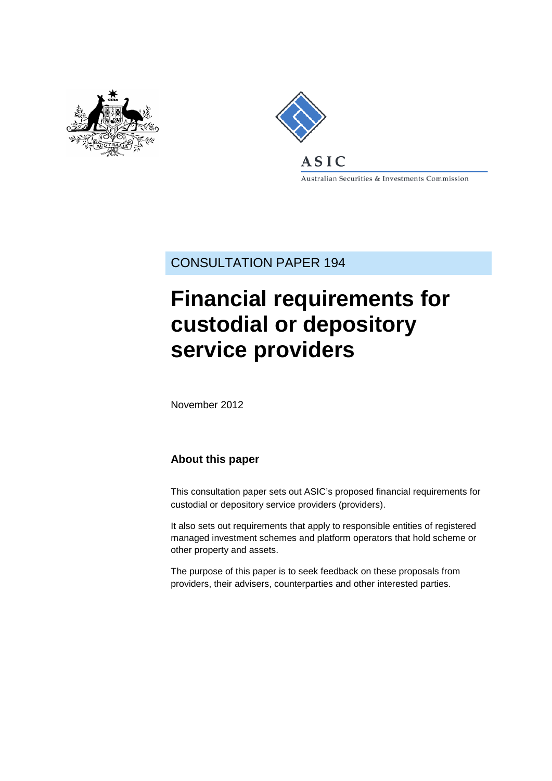



Australian Securities & Investments Commission

CONSULTATION PAPER 194

# **Financial requirements for custodial or depository service providers**

November 2012

### **About this paper**

This consultation paper sets out ASIC's proposed financial requirements for custodial or depository service providers (providers).

It also sets out requirements that apply to responsible entities of registered managed investment schemes and platform operators that hold scheme or other property and assets.

<span id="page-0-0"></span>The purpose of this paper is to seek feedback on these proposals from providers, their advisers, counterparties and other interested parties.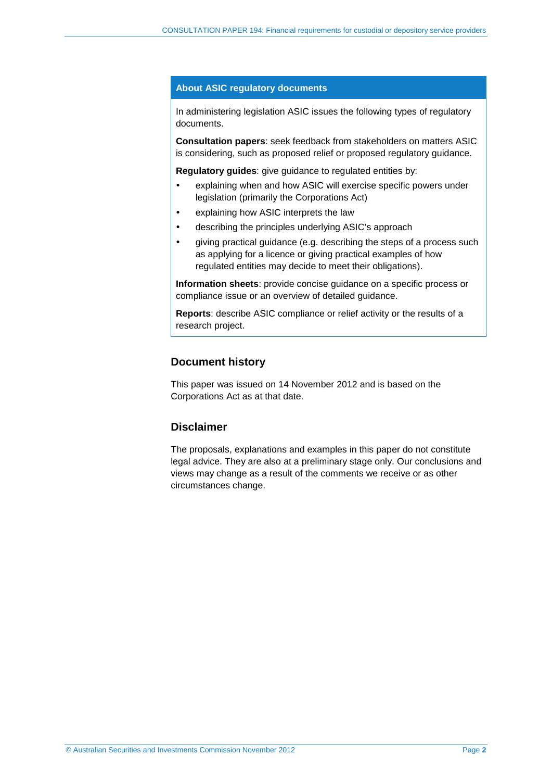#### **About ASIC regulatory documents**

In administering legislation ASIC issues the following types of regulatory documents.

**Consultation papers**: seek feedback from stakeholders on matters ASIC is considering, such as proposed relief or proposed regulatory guidance.

**Regulatory guides**: give guidance to regulated entities by:

- explaining when and how ASIC will exercise specific powers under legislation (primarily the Corporations Act)
- explaining how ASIC interprets the law
- describing the principles underlying ASIC's approach
- giving practical guidance (e.g. describing the steps of a process such as applying for a licence or giving practical examples of how regulated entities may decide to meet their obligations).

**Information sheets**: provide concise guidance on a specific process or compliance issue or an overview of detailed guidance.

**Reports**: describe ASIC compliance or relief activity or the results of a research project.

#### **Document history**

This paper was issued on 14 November 2012 and is based on the Corporations Act as at that date.

#### **Disclaimer**

The proposals, explanations and examples in this paper do not constitute legal advice. They are also at a preliminary stage only. Our conclusions and views may change as a result of the comments we receive or as other circumstances change.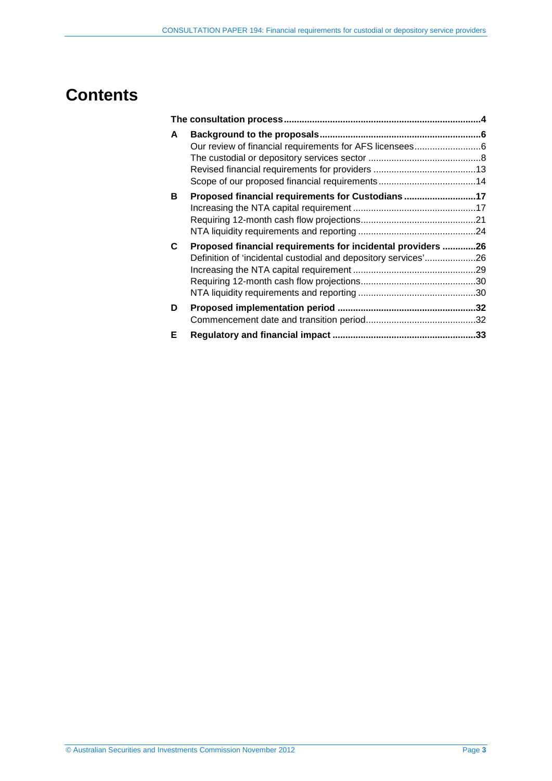## **Contents**

| A | Our review of financial requirements for AFS licensees6                                                                       |  |
|---|-------------------------------------------------------------------------------------------------------------------------------|--|
| В | Proposed financial requirements for Custodians 17                                                                             |  |
| C | Proposed financial requirements for incidental providers 26<br>Definition of 'incidental custodial and depository services'26 |  |
| D |                                                                                                                               |  |
| Е |                                                                                                                               |  |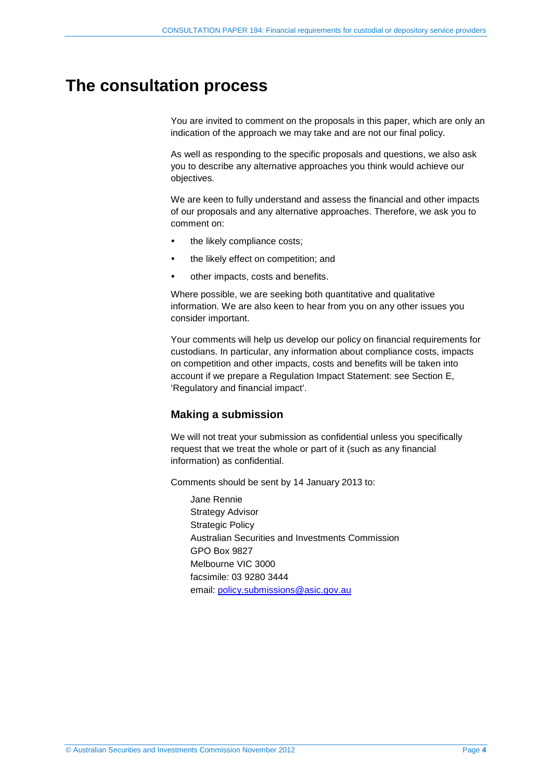## <span id="page-3-0"></span>**The consultation process**

You are invited to comment on the proposals in this paper, which are only an indication of the approach we may take and are not our final policy.

As well as responding to the specific proposals and questions, we also ask you to describe any alternative approaches you think would achieve our objectives.

We are keen to fully understand and assess the financial and other impacts of our proposals and any alternative approaches. Therefore, we ask you to comment on:

- the likely compliance costs;
- the likely effect on competition; and
- other impacts, costs and benefits.

Where possible, we are seeking both quantitative and qualitative information. We are also keen to hear from you on any other issues you consider important.

Your comments will help us develop our policy on financial requirements for custodians. In particular, any information about compliance costs, impacts on competition and other impacts, costs and benefits will be taken into account if we prepare a Regulation Impact Statement: see Section [E,](#page-32-0) 'Regulatory and financial impact'.

#### **Making a submission**

We will not treat your submission as confidential unless you specifically request that we treat the whole or part of it (such as any financial information) as confidential.

Comments should be sent by 14 January 2013 to:

Jane Rennie Strategy Advisor Strategic Policy Australian Securities and Investments Commission GPO Box 9827 Melbourne VIC 3000 facsimile: 03 9280 3444 email: [policy.submissions@asic.gov.au](mailto:policy.submissions@asic.gov.au)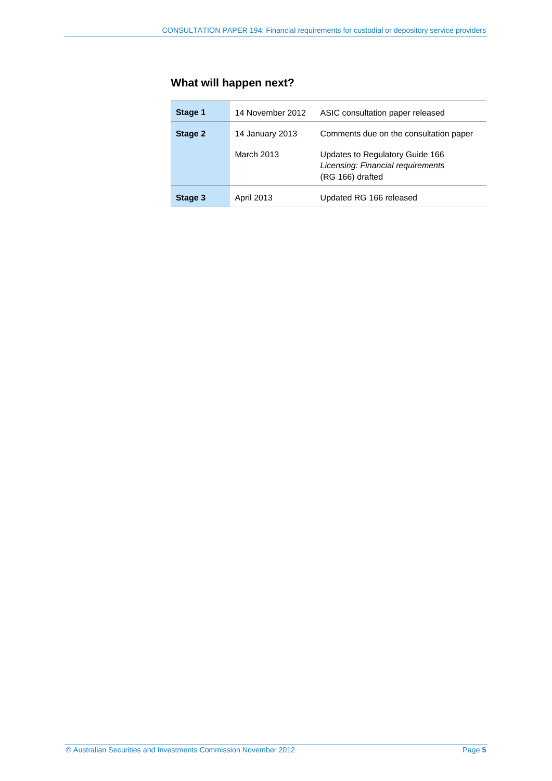## **What will happen next?**

| Stage 1 | 14 November 2012  | ASIC consultation paper released                                                         |
|---------|-------------------|------------------------------------------------------------------------------------------|
| Stage 2 | 14 January 2013   | Comments due on the consultation paper                                                   |
|         | March 2013        | Updates to Regulatory Guide 166<br>Licensing: Financial requirements<br>(RG 166) drafted |
| Stage 3 | <b>April 2013</b> | Updated RG 166 released                                                                  |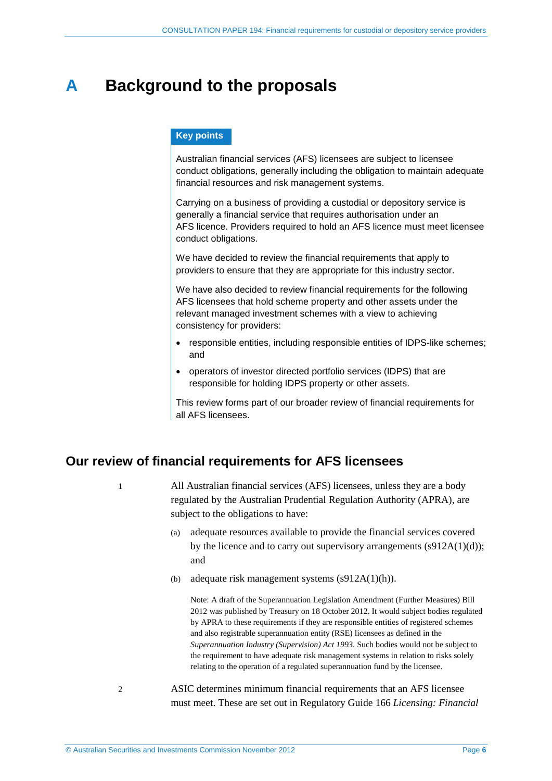## <span id="page-5-0"></span>**A Background to the proposals**

#### **Key points**

Australian financial services (AFS) licensees are subject to licensee conduct obligations, generally including the obligation to maintain adequate financial resources and risk management systems.

Carrying on a business of providing a custodial or depository service is generally a financial service that requires authorisation under an AFS licence. Providers required to hold an AFS licence must meet licensee conduct obligations.

We have decided to review the financial requirements that apply to providers to ensure that they are appropriate for this industry sector.

We have also decided to review financial requirements for the following AFS licensees that hold scheme property and other assets under the relevant managed investment schemes with a view to achieving consistency for providers:

- responsible entities, including responsible entities of IDPS-like schemes; and
- operators of investor directed portfolio services (IDPS) that are responsible for holding IDPS property or other assets.

This review forms part of our broader review of financial requirements for all AFS licensees.

## <span id="page-5-1"></span>**Our review of financial requirements for AFS licensees**

1 All Australian financial services (AFS) licensees, unless they are a body regulated by the Australian Prudential Regulation Authority (APRA), are subject to the obligations to have:

- (a) adequate resources available to provide the financial services covered by the licence and to carry out supervisory arrangements  $(s912A(1)(d))$ ; and
- (b) adequate risk management systems (s912A(1)(h)).

Note: A draft of the Superannuation Legislation Amendment (Further Measures) Bill 2012 was published by Treasury on 18 October 2012. It would subject bodies regulated by APRA to these requirements if they are responsible entities of registered schemes and also registrable superannuation entity (RSE) licensees as defined in the *Superannuation Industry (Supervision) Act 1993*. Such bodies would not be subject to the requirement to have adequate risk management systems in relation to risks solely relating to the operation of a regulated superannuation fund by the licensee.

2 ASIC determines minimum financial requirements that an AFS licensee must meet. These are set out in Regulatory Guide 166 *Licensing: Financial*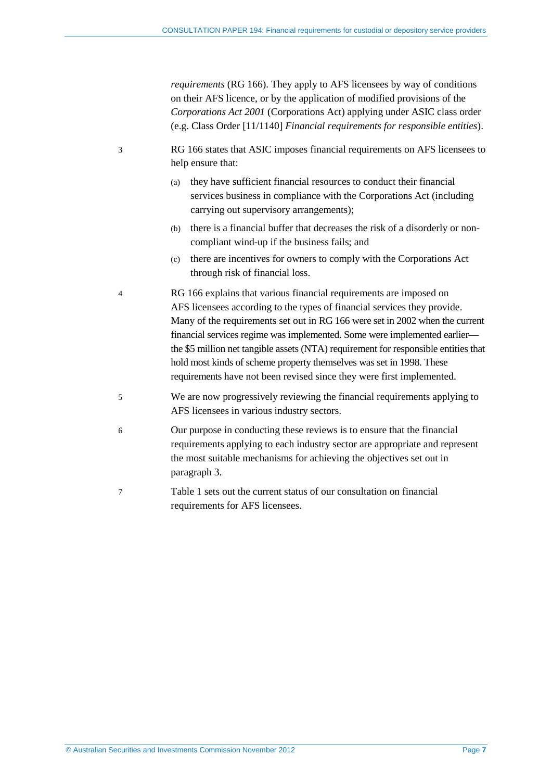*requirements* (RG 166). They apply to AFS licensees by way of conditions on their AFS licence, or by the application of modified provisions of the *Corporations Act 2001* (Corporations Act) applying under ASIC class order (e.g. Class Order [11/1140] *Financial requirements for responsible entities*).

- <span id="page-6-0"></span>3 RG 166 states that ASIC imposes financial requirements on AFS licensees to help ensure that:
	- (a) they have sufficient financial resources to conduct their financial services business in compliance with the Corporations Act (including carrying out supervisory arrangements);
	- (b) there is a financial buffer that decreases the risk of a disorderly or noncompliant wind-up if the business fails; and
	- (c) there are incentives for owners to comply with the Corporations Act through risk of financial loss.
- <span id="page-6-1"></span>4 RG 166 explains that various financial requirements are imposed on AFS licensees according to the types of financial services they provide. Many of the requirements set out in RG 166 were set in 2002 when the current financial services regime was implemented. Some were implemented earlier the \$5 million net tangible assets (NTA) requirement for responsible entities that hold most kinds of scheme property themselves was set in 1998. These requirements have not been revised since they were first implemented.
- 5 We are now progressively reviewing the financial requirements applying to AFS licensees in various industry sectors.
- 6 Our purpose in conducting these reviews is to ensure that the financial requirements applying to each industry sector are appropriate and represent the most suitable mechanisms for achieving the objectives set out in paragraph [3.](#page-6-0)
- 7 [Table 1](#page-7-1) sets out the current status of our consultation on financial requirements for AFS licensees.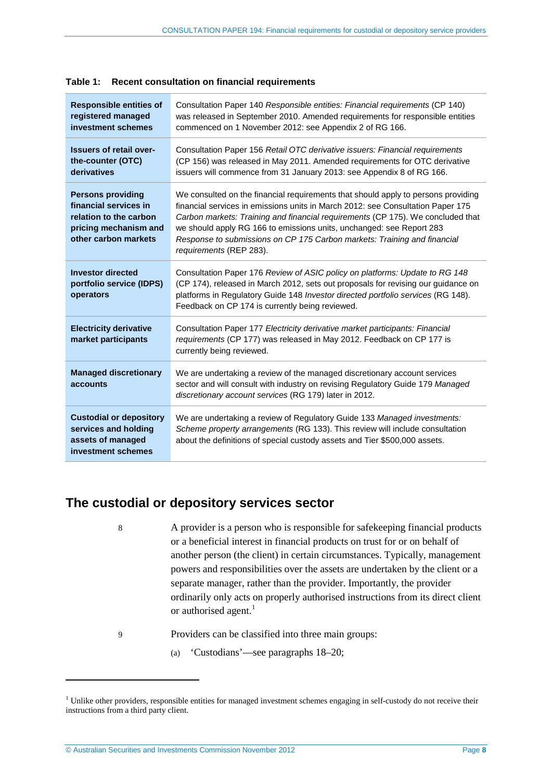| <b>Responsible entities of</b><br>registered managed<br>investment schemes                                                   | Consultation Paper 140 Responsible entities: Financial requirements (CP 140)<br>was released in September 2010. Amended requirements for responsible entities<br>commenced on 1 November 2012: see Appendix 2 of RG 166.                                                                                                                                                                                                               |
|------------------------------------------------------------------------------------------------------------------------------|----------------------------------------------------------------------------------------------------------------------------------------------------------------------------------------------------------------------------------------------------------------------------------------------------------------------------------------------------------------------------------------------------------------------------------------|
| <b>Issuers of retail over-</b><br>the-counter (OTC)<br>derivatives                                                           | Consultation Paper 156 Retail OTC derivative issuers: Financial requirements<br>(CP 156) was released in May 2011. Amended requirements for OTC derivative<br>issuers will commence from 31 January 2013: see Appendix 8 of RG 166.                                                                                                                                                                                                    |
| <b>Persons providing</b><br>financial services in<br>relation to the carbon<br>pricing mechanism and<br>other carbon markets | We consulted on the financial requirements that should apply to persons providing<br>financial services in emissions units in March 2012: see Consultation Paper 175<br>Carbon markets: Training and financial requirements (CP 175). We concluded that<br>we should apply RG 166 to emissions units, unchanged: see Report 283<br>Response to submissions on CP 175 Carbon markets: Training and financial<br>requirements (REP 283). |
| <b>Investor directed</b><br>portfolio service (IDPS)<br>operators                                                            | Consultation Paper 176 Review of ASIC policy on platforms: Update to RG 148<br>(CP 174), released in March 2012, sets out proposals for revising our guidance on<br>platforms in Regulatory Guide 148 Investor directed portfolio services (RG 148).<br>Feedback on CP 174 is currently being reviewed.                                                                                                                                |
| <b>Electricity derivative</b><br>market participants                                                                         | Consultation Paper 177 Electricity derivative market participants: Financial<br>requirements (CP 177) was released in May 2012. Feedback on CP 177 is<br>currently being reviewed.                                                                                                                                                                                                                                                     |
| <b>Managed discretionary</b><br>accounts                                                                                     | We are undertaking a review of the managed discretionary account services<br>sector and will consult with industry on revising Regulatory Guide 179 Managed<br>discretionary account services (RG 179) later in 2012.                                                                                                                                                                                                                  |
| <b>Custodial or depository</b><br>services and holding<br>assets of managed<br>investment schemes                            | We are undertaking a review of Regulatory Guide 133 Managed investments:<br>Scheme property arrangements (RG 133). This review will include consultation<br>about the definitions of special custody assets and Tier \$500,000 assets.                                                                                                                                                                                                 |

<span id="page-7-1"></span>

## <span id="page-7-0"></span>**The custodial or depository services sector**

- 8 A provider is a person who is responsible for safekeeping financial products or a beneficial interest in financial products on trust for or on behalf of another person (the client) in certain circumstances. Typically, management powers and responsibilities over the assets are undertaken by the client or a separate manager, rather than the provider. Importantly, the provider ordinarily only acts on properly authorised instructions from its direct client or authorised agent. $1$
- 9 Providers can be classified into three main groups:
	- (a) 'Custodians'—see paragraphs [18–](#page-9-0)[20;](#page-9-1)

<span id="page-7-2"></span>-

 $1$  Unlike other providers, responsible entities for managed investment schemes engaging in self-custody do not receive their instructions from a third party client.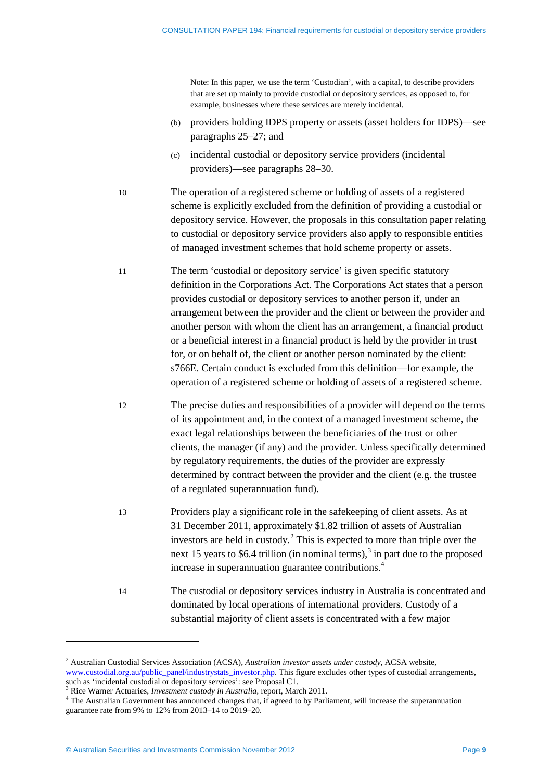Note: In this paper, we use the term 'Custodian', with a capital, to describe providers that are set up mainly to provide custodial or depository services, as opposed to, for example, businesses where these services are merely incidental.

- (b) providers holding IDPS property or assets (asset holders for IDPS)—see paragraphs [25–](#page-10-0)[27;](#page-10-1) and
- (c) incidental custodial or depository service providers (incidental providers)—see paragraphs [28–](#page-11-0)[30.](#page-11-1)
- 10 The operation of a registered scheme or holding of assets of a registered scheme is explicitly excluded from the definition of providing a custodial or depository service. However, the proposals in this consultation paper relating to custodial or depository service providers also apply to responsible entities of managed investment schemes that hold scheme property or assets.
- 11 The term 'custodial or depository service' is given specific statutory definition in the Corporations Act. The Corporations Act states that a person provides custodial or depository services to another person if, under an arrangement between the provider and the client or between the provider and another person with whom the client has an arrangement, a financial product or a beneficial interest in a financial product is held by the provider in trust for, or on behalf of, the client or another person nominated by the client: s766E. Certain conduct is excluded from this definition—for example, the operation of a registered scheme or holding of assets of a registered scheme.
- 12 The precise duties and responsibilities of a provider will depend on the terms of its appointment and, in the context of a managed investment scheme, the exact legal relationships between the beneficiaries of the trust or other clients, the manager (if any) and the provider. Unless specifically determined by regulatory requirements, the duties of the provider are expressly determined by contract between the provider and the client (e.g. the trustee of a regulated superannuation fund).
- 13 Providers play a significant role in the safekeeping of client assets. As at 31 December 2011, approximately \$1.82 trillion of assets of Australian investors are held in custody. [2](#page-7-2) This is expected to more than triple over the next 15 years to \$6.4 trillion (in nominal terms),<sup>[3](#page-8-0)</sup> in part due to the proposed increase in superannuation guarantee contributions.[4](#page-8-1)
- 14 The custodial or depository services industry in Australia is concentrated and dominated by local operations of international providers. Custody of a substantial majority of client assets is concentrated with a few major

<u>.</u>

<span id="page-8-2"></span><sup>2</sup> Australian Custodial Services Association (ACSA), *Australian investor assets under custody*, ACSA website, [www.custodial.org.au/public\\_panel/industrystats\\_investor.php.](http://www.custodial.org.au/public_panel/industrystats_investor.php) This figure excludes other types of custodial arrangements, such as 'incidental custodial or depository services': see Proposal C1.

<span id="page-8-1"></span><span id="page-8-0"></span> $3$  Rice Warner Actuaries, *Investment custody in Australia*, report, March 2011.<br> $4$  The Australian Government has announced changes that, if agreed to by Parliament, will increase the superannuation guarantee rate from 9% to 12% from 2013–14 to 2019–20.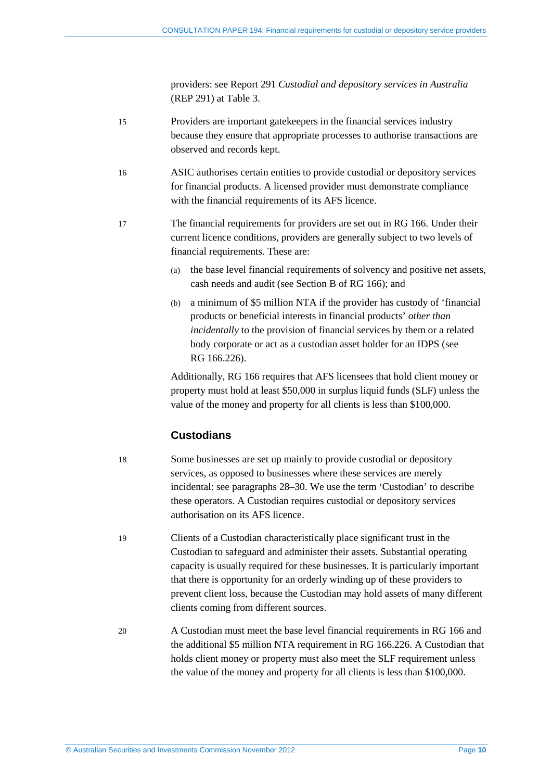providers: see Report 291 *Custodial and depository services in Australia*  (REP 291) at Table 3.

- 15 Providers are important gatekeepers in the financial services industry because they ensure that appropriate processes to authorise transactions are observed and records kept.
- 16 ASIC authorises certain entities to provide custodial or depository services for financial products. A licensed provider must demonstrate compliance with the financial requirements of its AFS licence.
- 17 The financial requirements for providers are set out in RG 166. Under their current licence conditions, providers are generally subject to two levels of financial requirements. These are:
	- (a) the base level financial requirements of solvency and positive net assets, cash needs and audit (see Section B of RG 166); and
	- (b) a minimum of \$5 million NTA if the provider has custody of 'financial products or beneficial interests in financial products' *other than incidentally* to the provision of financial services by them or a related body corporate or act as a custodian asset holder for an IDPS (see RG 166.226).

Additionally, RG 166 requires that AFS licensees that hold client money or property must hold at least \$50,000 in surplus liquid funds (SLF) unless the value of the money and property for all clients is less than \$100,000.

#### **Custodians**

<span id="page-9-0"></span>18 Some businesses are set up mainly to provide custodial or depository services, as opposed to businesses where these services are merely incidental: see paragraphs [28–](#page-11-0)[30.](#page-11-1) We use the term 'Custodian' to describe these operators. A Custodian requires custodial or depository services authorisation on its AFS licence.

- 19 Clients of a Custodian characteristically place significant trust in the Custodian to safeguard and administer their assets. Substantial operating capacity is usually required for these businesses. It is particularly important that there is opportunity for an orderly winding up of these providers to prevent client loss, because the Custodian may hold assets of many different clients coming from different sources.
- <span id="page-9-1"></span>20 A Custodian must meet the base level financial requirements in RG 166 and the additional \$5 million NTA requirement in RG 166.226. A Custodian that holds client money or property must also meet the SLF requirement unless the value of the money and property for all clients is less than \$100,000.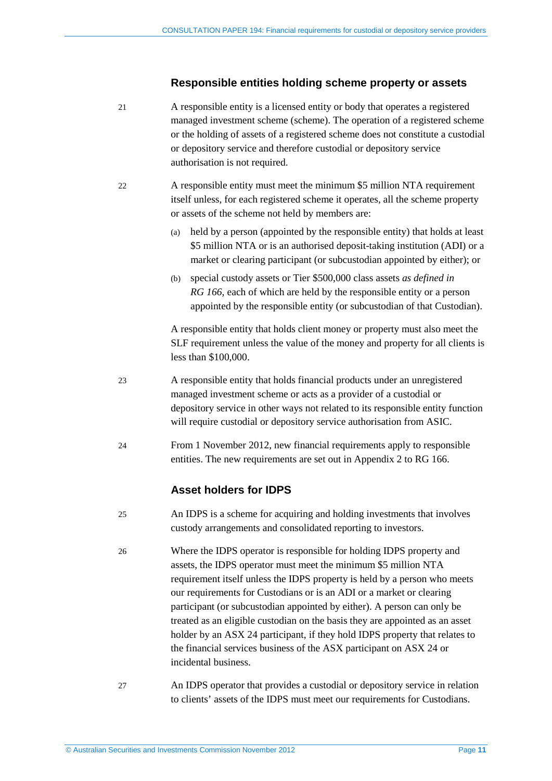#### **Responsible entities holding scheme property or assets**

21 A responsible entity is a licensed entity or body that operates a registered managed investment scheme (scheme). The operation of a registered scheme or the holding of assets of a registered scheme does not constitute a custodial or depository service and therefore custodial or depository service authorisation is not required.

- 22 A responsible entity must meet the minimum \$5 million NTA requirement itself unless, for each registered scheme it operates, all the scheme property or assets of the scheme not held by members are:
	- (a) held by a person (appointed by the responsible entity) that holds at least \$5 million NTA or is an authorised deposit-taking institution (ADI) or a market or clearing participant (or subcustodian appointed by either); or
	- (b) special custody assets or Tier \$500,000 class assets *as defined in RG 166*, each of which are held by the responsible entity or a person appointed by the responsible entity (or subcustodian of that Custodian).

A responsible entity that holds client money or property must also meet the SLF requirement unless the value of the money and property for all clients is less than \$100,000.

- 23 A responsible entity that holds financial products under an unregistered managed investment scheme or acts as a provider of a custodial or depository service in other ways not related to its responsible entity function will require custodial or depository service authorisation from ASIC.
- 24 From 1 November 2012, new financial requirements apply to responsible entities. The new requirements are set out in Appendix 2 to RG 166.

#### **Asset holders for IDPS**

- <span id="page-10-0"></span>25 An IDPS is a scheme for acquiring and holding investments that involves custody arrangements and consolidated reporting to investors.
- 26 Where the IDPS operator is responsible for holding IDPS property and assets, the IDPS operator must meet the minimum \$5 million NTA requirement itself unless the IDPS property is held by a person who meets our requirements for Custodians or is an ADI or a market or clearing participant (or subcustodian appointed by either). A person can only be treated as an eligible custodian on the basis they are appointed as an asset holder by an ASX 24 participant, if they hold IDPS property that relates to the financial services business of the ASX participant on ASX 24 or incidental business.
- <span id="page-10-1"></span>27 An IDPS operator that provides a custodial or depository service in relation to clients' assets of the IDPS must meet our requirements for Custodians.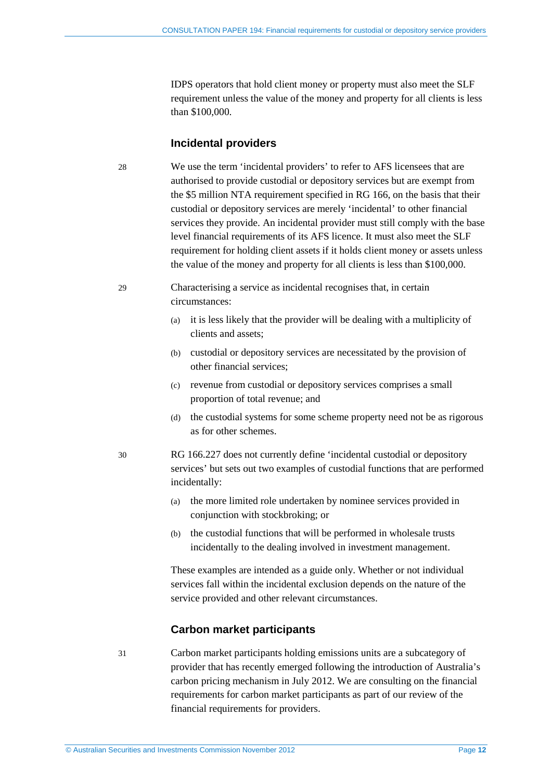IDPS operators that hold client money or property must also meet the SLF requirement unless the value of the money and property for all clients is less than \$100,000.

#### **Incidental providers**

<span id="page-11-0"></span>28 We use the term 'incidental providers' to refer to AFS licensees that are authorised to provide custodial or depository services but are exempt from the \$5 million NTA requirement specified in RG 166, on the basis that their custodial or depository services are merely 'incidental' to other financial services they provide. An incidental provider must still comply with the base level financial requirements of its AFS licence. It must also meet the SLF requirement for holding client assets if it holds client money or assets unless the value of the money and property for all clients is less than \$100,000.

#### 29 Characterising a service as incidental recognises that, in certain circumstances:

- (a) it is less likely that the provider will be dealing with a multiplicity of clients and assets;
- (b) custodial or depository services are necessitated by the provision of other financial services;
- (c) revenue from custodial or depository services comprises a small proportion of total revenue; and
- (d) the custodial systems for some scheme property need not be as rigorous as for other schemes.
- <span id="page-11-1"></span>30 RG 166.227 does not currently define 'incidental custodial or depository services' but sets out two examples of custodial functions that are performed incidentally:
	- (a) the more limited role undertaken by nominee services provided in conjunction with stockbroking; or
	- (b) the custodial functions that will be performed in wholesale trusts incidentally to the dealing involved in investment management.

These examples are intended as a guide only. Whether or not individual services fall within the incidental exclusion depends on the nature of the service provided and other relevant circumstances.

#### **Carbon market participants**

31 Carbon market participants holding emissions units are a subcategory of provider that has recently emerged following the introduction of Australia's carbon pricing mechanism in July 2012. We are consulting on the financial requirements for carbon market participants as part of our review of the financial requirements for providers.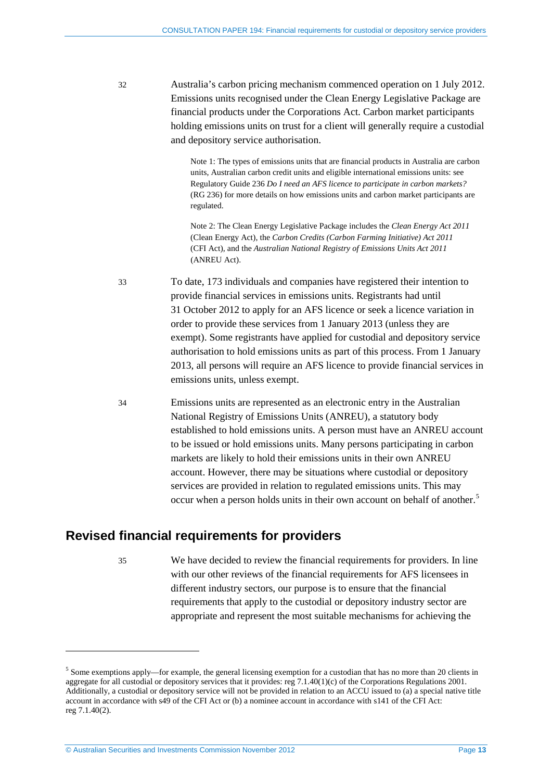32 Australia's carbon pricing mechanism commenced operation on 1 July 2012. Emissions units recognised under the Clean Energy Legislative Package are financial products under the Corporations Act. Carbon market participants holding emissions units on trust for a client will generally require a custodial and depository service authorisation.

> Note 1: The types of emissions units that are financial products in Australia are carbon units, Australian carbon credit units and eligible international emissions units: see Regulatory Guide 236 *Do I need an AFS licence to participate in carbon markets?* (RG 236) for more details on how emissions units and carbon market participants are regulated.

Note 2: The Clean Energy Legislative Package includes the *Clean Energy Act 2011*  (Clean Energy Act), the *Carbon Credits (Carbon Farming Initiative) Act 2011* (CFI Act), and the *Australian National Registry of Emissions Units Act 2011* (ANREU Act).

- 33 To date, 173 individuals and companies have registered their intention to provide financial services in emissions units. Registrants had until 31 October 2012 to apply for an AFS licence or seek a licence variation in order to provide these services from 1 January 2013 (unless they are exempt). Some registrants have applied for custodial and depository service authorisation to hold emissions units as part of this process. From 1 January 2013, all persons will require an AFS licence to provide financial services in emissions units, unless exempt.
- <span id="page-12-2"></span>34 Emissions units are represented as an electronic entry in the Australian National Registry of Emissions Units (ANREU), a statutory body established to hold emissions units. A person must have an ANREU account to be issued or hold emissions units. Many persons participating in carbon markets are likely to hold their emissions units in their own ANREU account. However, there may be situations where custodial or depository services are provided in relation to regulated emissions units. This may occur when a person holds units in their own account on behalf of another.<sup>[5](#page-8-2)</sup>

## <span id="page-12-0"></span>**Revised financial requirements for providers**

-

35 We have decided to review the financial requirements for providers. In line with our other reviews of the financial requirements for AFS licensees in different industry sectors, our purpose is to ensure that the financial requirements that apply to the custodial or depository industry sector are appropriate and represent the most suitable mechanisms for achieving the

<span id="page-12-1"></span><sup>&</sup>lt;sup>5</sup> Some exemptions apply—for example, the general licensing exemption for a custodian that has no more than 20 clients in aggregate for all custodial or depository services that it provides: reg 7.1.40(1)(c) of the Corporations Regulations 2001. Additionally, a custodial or depository service will not be provided in relation to an ACCU issued to (a) a special native title account in accordance with s49 of the CFI Act or (b) a nominee account in accordance with s141 of the CFI Act: reg 7.1.40(2).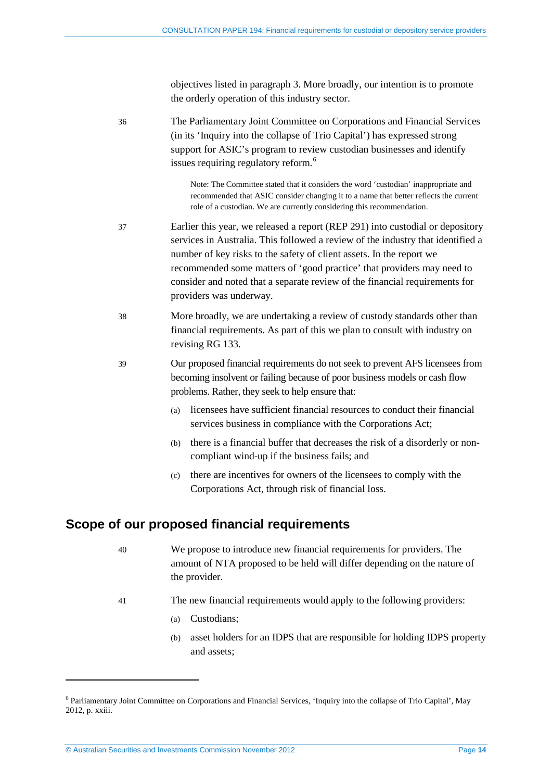objectives listed in paragraph [3.](#page-6-0) More broadly, our intention is to promote the orderly operation of this industry sector.

36 The Parliamentary Joint Committee on Corporations and Financial Services (in its 'Inquiry into the collapse of Trio Capital') has expressed strong support for ASIC's program to review custodian businesses and identify issues requiring regulatory reform.<sup>[6](#page-12-1)</sup> Note: The Committee stated that it considers the word 'custodian' inappropriate and recommended that ASIC consider changing it to a name that better reflects the current role of a custodian. We are currently considering this recommendation. 37 Earlier this year, we released a report (REP 291) into custodial or depository services in Australia. This followed a review of the industry that identified a number of key risks to the safety of client assets. In the report we recommended some matters of 'good practice' that providers may need to consider and noted that a separate review of the financial requirements for providers was underway. 38 More broadly, we are undertaking a review of custody standards other than financial requirements. As part of this we plan to consult with industry on revising RG 133. 39 Our proposed financial requirements do not seek to prevent AFS licensees from becoming insolvent or failing because of poor business models or cash flow problems. Rather, they seek to help ensure that:

- <span id="page-13-1"></span>(a) licensees have sufficient financial resources to conduct their financial services business in compliance with the Corporations Act;
- (b) there is a financial buffer that decreases the risk of a disorderly or noncompliant wind-up if the business fails; and
- (c) there are incentives for owners of the licensees to comply with the Corporations Act, through risk of financial loss.

#### <span id="page-13-0"></span>**Scope of our proposed financial requirements**

- 40 We propose to introduce new financial requirements for providers. The amount of NTA proposed to be held will differ depending on the nature of the provider.
- 41 The new financial requirements would apply to the following providers:
	- (a) Custodians;
	- (b) asset holders for an IDPS that are responsible for holding IDPS property and assets;

-

<sup>6</sup> Parliamentary Joint Committee on Corporations and Financial Services, 'Inquiry into the collapse of Trio Capital', May 2012, p. xxiii.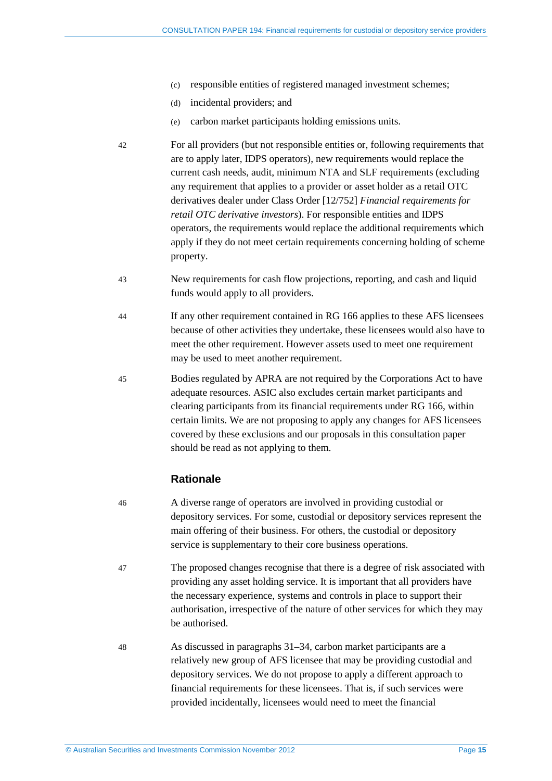- (c) responsible entities of registered managed investment schemes;
- (d) incidental providers; and
- (e) carbon market participants holding emissions units.
- 42 For all providers (but not responsible entities or, following requirements that are to apply later, IDPS operators), new requirements would replace the current cash needs, audit, minimum NTA and SLF requirements (excluding any requirement that applies to a provider or asset holder as a retail OTC derivatives dealer under Class Order [12/752] *Financial requirements for retail OTC derivative investors*). For responsible entities and IDPS operators, the requirements would replace the additional requirements which apply if they do not meet certain requirements concerning holding of scheme property.
- 43 New requirements for cash flow projections, reporting, and cash and liquid funds would apply to all providers.
- 44 If any other requirement contained in RG 166 applies to these AFS licensees because of other activities they undertake, these licensees would also have to meet the other requirement. However assets used to meet one requirement may be used to meet another requirement.
- 45 Bodies regulated by APRA are not required by the Corporations Act to have adequate resources. ASIC also excludes certain market participants and clearing participants from its financial requirements under RG 166, within certain limits. We are not proposing to apply any changes for AFS licensees covered by these exclusions and our proposals in this consultation paper should be read as not applying to them.

#### **Rationale**

- 46 A diverse range of operators are involved in providing custodial or depository services. For some, custodial or depository services represent the main offering of their business. For others, the custodial or depository service is supplementary to their core business operations.
- 47 The proposed changes recognise that there is a degree of risk associated with providing any asset holding service. It is important that all providers have the necessary experience, systems and controls in place to support their authorisation, irrespective of the nature of other services for which they may be authorised.
- 48 As discussed in paragraphs 31[–34,](#page-12-2) carbon market participants are a relatively new group of AFS licensee that may be providing custodial and depository services. We do not propose to apply a different approach to financial requirements for these licensees. That is, if such services were provided incidentally, licensees would need to meet the financial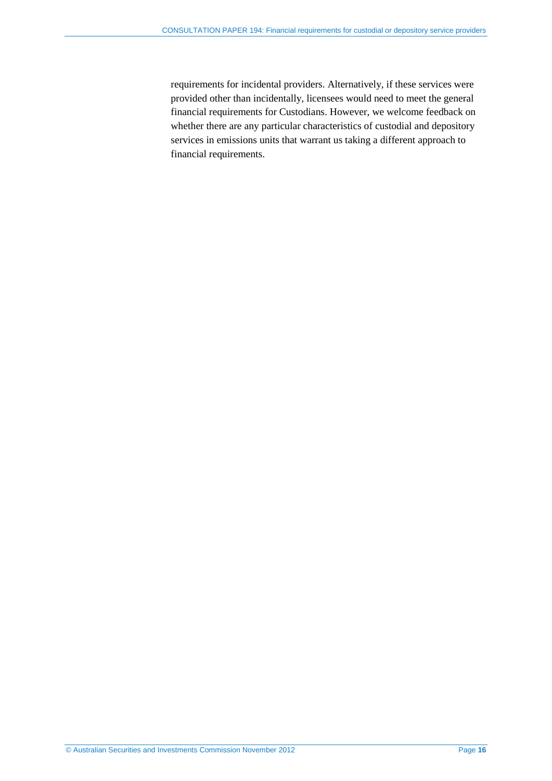requirements for incidental providers. Alternatively, if these services were provided other than incidentally, licensees would need to meet the general financial requirements for Custodians. However, we welcome feedback on whether there are any particular characteristics of custodial and depository services in emissions units that warrant us taking a different approach to financial requirements.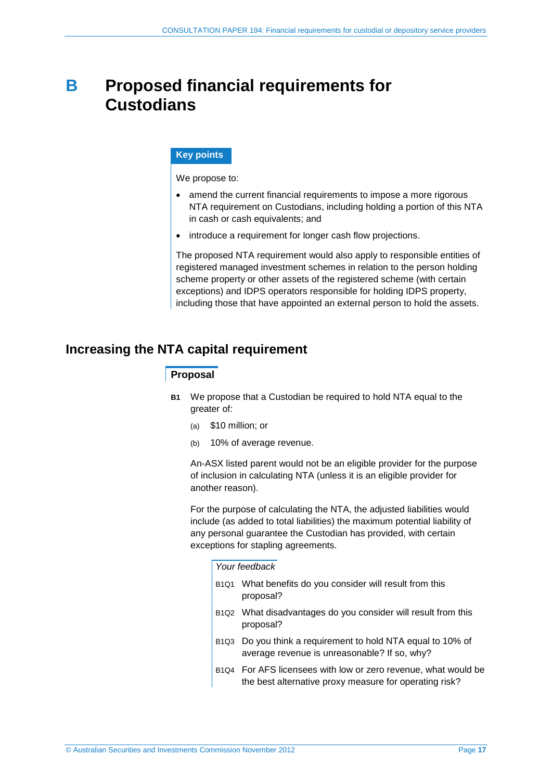## <span id="page-16-0"></span>**B Proposed financial requirements for Custodians**

#### **Key points**

We propose to:

- amend the current financial requirements to impose a more rigorous NTA requirement on Custodians, including holding a portion of this NTA in cash or cash equivalents; and
- introduce a requirement for longer cash flow projections.

The proposed NTA requirement would also apply to responsible entities of registered managed investment schemes in relation to the person holding scheme property or other assets of the registered scheme (with certain exceptions) and IDPS operators responsible for holding IDPS property, including those that have appointed an external person to hold the assets.

## <span id="page-16-2"></span><span id="page-16-1"></span>**Increasing the NTA capital requirement**

#### **Proposal**

- **B1** We propose that a Custodian be required to hold NTA equal to the greater of:
	- (a) \$10 million; or
	- (b) 10% of average revenue.

An-ASX listed parent would not be an eligible provider for the purpose of inclusion in calculating NTA (unless it is an eligible provider for another reason).

For the purpose of calculating the NTA, the adjusted liabilities would include (as added to total liabilities) the maximum potential liability of any personal guarantee the Custodian has provided, with certain exceptions for stapling agreements.

#### *Your feedback*

- B1Q1 What benefits do you consider will result from this proposal?
- B1Q2 What disadvantages do you consider will result from this proposal?
- B1Q3 Do you think a requirement to hold NTA equal to 10% of average revenue is unreasonable? If so, why?
- B1Q4 For AFS licensees with low or zero revenue, what would be the best alternative proxy measure for operating risk?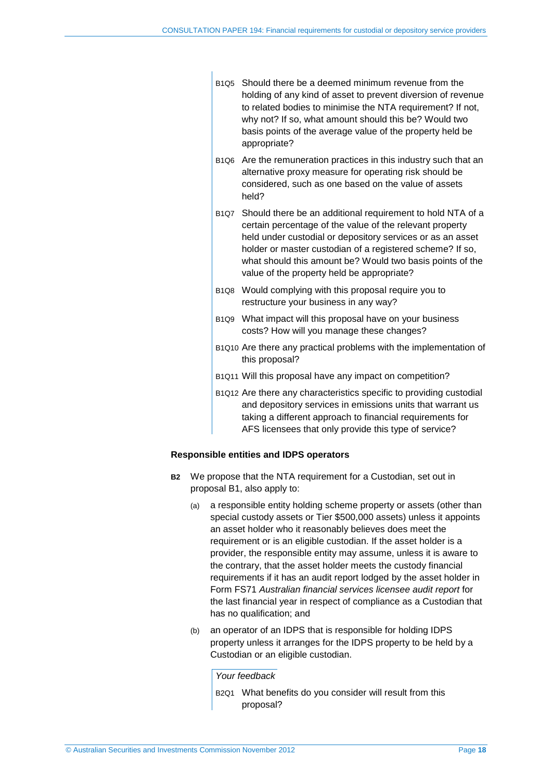$\overline{1}$ 

| B1Q5 Should there be a deemed minimum revenue from the       |
|--------------------------------------------------------------|
| holding of any kind of asset to prevent diversion of revenue |
| to related bodies to minimise the NTA requirement? If not,   |
| why not? If so, what amount should this be? Would two        |
| basis points of the average value of the property held be    |
| appropriate?                                                 |

- B1Q6 Are the remuneration practices in this industry such that an alternative proxy measure for operating risk should be considered, such as one based on the value of assets held?
- B1Q7 Should there be an additional requirement to hold NTA of a certain percentage of the value of the relevant property held under custodial or depository services or as an asset holder or master custodian of a registered scheme? If so, what should this amount be? Would two basis points of the value of the property held be appropriate?
- B1Q8 Would complying with this proposal require you to restructure your business in any way?
- B1Q9 What impact will this proposal have on your business costs? How will you manage these changes?
- B1Q10 Are there any practical problems with the implementation of this proposal?
- B1Q11 Will this proposal have any impact on competition?
- B1Q12 Are there any characteristics specific to providing custodial and depository services in emissions units that warrant us taking a different approach to financial requirements for AFS licensees that only provide this type of service?

#### <span id="page-17-0"></span>**Responsible entities and IDPS operators**

- **B2** We propose that the NTA requirement for a Custodian, set out in proposal [B1,](#page-16-2) also apply to:
	- (a) a responsible entity holding scheme property or assets (other than special custody assets or Tier \$500,000 assets) unless it appoints an asset holder who it reasonably believes does meet the requirement or is an eligible custodian. If the asset holder is a provider, the responsible entity may assume, unless it is aware to the contrary, that the asset holder meets the custody financial requirements if it has an audit report lodged by the asset holder in Form FS71 *Australian financial services licensee audit report* for the last financial year in respect of compliance as a Custodian that has no qualification; and
	- (b) an operator of an IDPS that is responsible for holding IDPS property unless it arranges for the IDPS property to be held by a Custodian or an eligible custodian.

*Your feedback*

B2Q1 What benefits do you consider will result from this proposal?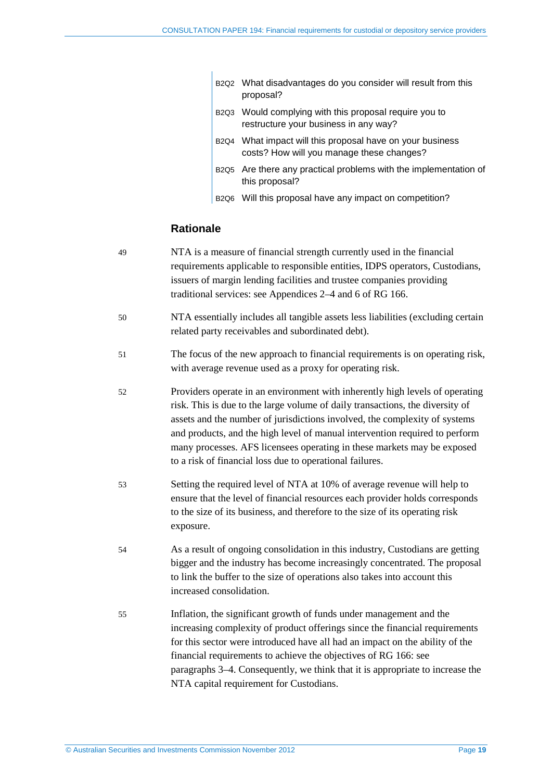|  | B2Q2 What disadvantages do you consider will result from this                                                  |
|--|----------------------------------------------------------------------------------------------------------------|
|  | proposal?                                                                                                      |
|  | l man march 1996 and the control of the control of the control of the control of the control of the control of |

- B2Q3 Would complying with this proposal require you to restructure your business in any way?
- B2Q4 What impact will this proposal have on your business costs? How will you manage these changes?
- B2Q5 Are there any practical problems with the implementation of this proposal?
- B2Q6 Will this proposal have any impact on competition?

#### **Rationale**

 $\overline{\phantom{a}}$ 

49 NTA is a measure of financial strength currently used in the financial requirements applicable to responsible entities, IDPS operators, Custodians, issuers of margin lending facilities and trustee companies providing traditional services: see Appendices 2–4 and 6 of RG 166. 50 NTA essentially includes all tangible assets less liabilities (excluding certain related party receivables and subordinated debt). 51 The focus of the new approach to financial requirements is on operating risk, with average revenue used as a proxy for operating risk. 52 Providers operate in an environment with inherently high levels of operating risk. This is due to the large volume of daily transactions, the diversity of assets and the number of jurisdictions involved, the complexity of systems and products, and the high level of manual intervention required to perform many processes. AFS licensees operating in these markets may be exposed to a risk of financial loss due to operational failures. 53 Setting the required level of NTA at 10% of average revenue will help to ensure that the level of financial resources each provider holds corresponds to the size of its business, and therefore to the size of its operating risk exposure. 54 As a result of ongoing consolidation in this industry, Custodians are getting bigger and the industry has become increasingly concentrated. The proposal to link the buffer to the size of operations also takes into account this increased consolidation. 55 Inflation, the significant growth of funds under management and the increasing complexity of product offerings since the financial requirements for this sector were introduced have all had an impact on the ability of the financial requirements to achieve the objectives of RG 166: see paragraphs [3](#page-6-0)[–4.](#page-6-1) Consequently, we think that it is appropriate to increase the NTA capital requirement for Custodians.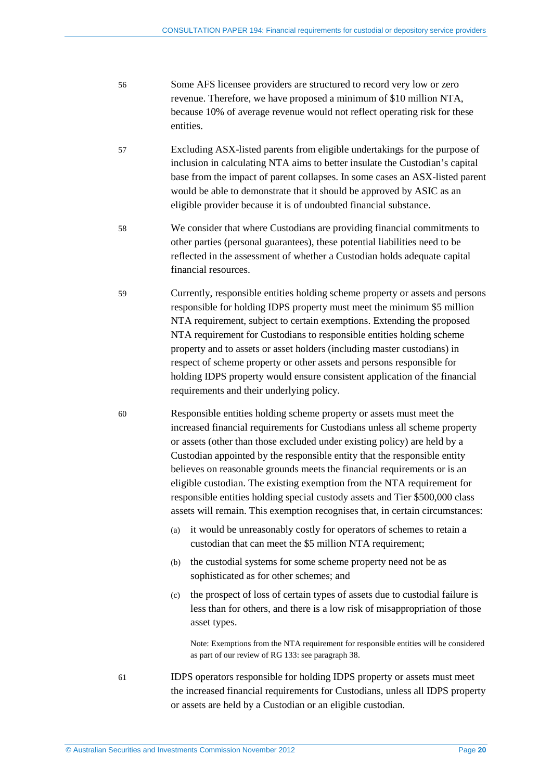- 56 Some AFS licensee providers are structured to record very low or zero revenue. Therefore, we have proposed a minimum of \$10 million NTA, because 10% of average revenue would not reflect operating risk for these entities.
- 57 Excluding ASX-listed parents from eligible undertakings for the purpose of inclusion in calculating NTA aims to better insulate the Custodian's capital base from the impact of parent collapses. In some cases an ASX-listed parent would be able to demonstrate that it should be approved by ASIC as an eligible provider because it is of undoubted financial substance.
- 58 We consider that where Custodians are providing financial commitments to other parties (personal guarantees), these potential liabilities need to be reflected in the assessment of whether a Custodian holds adequate capital financial resources.
- 59 Currently, responsible entities holding scheme property or assets and persons responsible for holding IDPS property must meet the minimum \$5 million NTA requirement, subject to certain exemptions. Extending the proposed NTA requirement for Custodians to responsible entities holding scheme property and to assets or asset holders (including master custodians) in respect of scheme property or other assets and persons responsible for holding IDPS property would ensure consistent application of the financial requirements and their underlying policy.
- 60 Responsible entities holding scheme property or assets must meet the increased financial requirements for Custodians unless all scheme property or assets (other than those excluded under existing policy) are held by a Custodian appointed by the responsible entity that the responsible entity believes on reasonable grounds meets the financial requirements or is an eligible custodian. The existing exemption from the NTA requirement for responsible entities holding special custody assets and Tier \$500,000 class assets will remain. This exemption recognises that, in certain circumstances:
	- (a) it would be unreasonably costly for operators of schemes to retain a custodian that can meet the \$5 million NTA requirement;
	- (b) the custodial systems for some scheme property need not be as sophisticated as for other schemes; and
	- (c) the prospect of loss of certain types of assets due to custodial failure is less than for others, and there is a low risk of misappropriation of those asset types.

Note: Exemptions from the NTA requirement for responsible entities will be considered as part of our review of RG 133: see paragraph [38.](#page-13-1)

61 IDPS operators responsible for holding IDPS property or assets must meet the increased financial requirements for Custodians, unless all IDPS property or assets are held by a Custodian or an eligible custodian.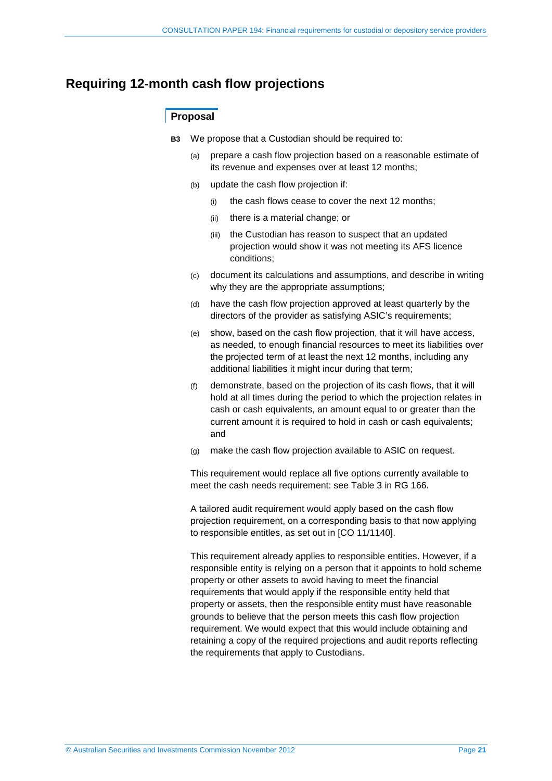### <span id="page-20-0"></span>**Requiring 12-month cash flow projections**

#### **Proposal**

- **B3** We propose that a Custodian should be required to:
	- (a) prepare a cash flow projection based on a reasonable estimate of its revenue and expenses over at least 12 months;
	- (b) update the cash flow projection if:
		- (i) the cash flows cease to cover the next 12 months;
		- (ii) there is a material change; or
		- (iii) the Custodian has reason to suspect that an updated projection would show it was not meeting its AFS licence conditions;
	- (c) document its calculations and assumptions, and describe in writing why they are the appropriate assumptions;
	- (d) have the cash flow projection approved at least quarterly by the directors of the provider as satisfying ASIC's requirements;
	- (e) show, based on the cash flow projection, that it will have access, as needed, to enough financial resources to meet its liabilities over the projected term of at least the next 12 months, including any additional liabilities it might incur during that term;
	- (f) demonstrate, based on the projection of its cash flows, that it will hold at all times during the period to which the projection relates in cash or cash equivalents, an amount equal to or greater than the current amount it is required to hold in cash or cash equivalents; and
	- (g) make the cash flow projection available to ASIC on request.

This requirement would replace all five options currently available to meet the cash needs requirement: see Table 3 in RG 166.

A tailored audit requirement would apply based on the cash flow projection requirement, on a corresponding basis to that now applying to responsible entitles, as set out in [CO 11/1140].

This requirement already applies to responsible entities. However, if a responsible entity is relying on a person that it appoints to hold scheme property or other assets to avoid having to meet the financial requirements that would apply if the responsible entity held that property or assets, then the responsible entity must have reasonable grounds to believe that the person meets this cash flow projection requirement. We would expect that this would include obtaining and retaining a copy of the required projections and audit reports reflecting the requirements that apply to Custodians.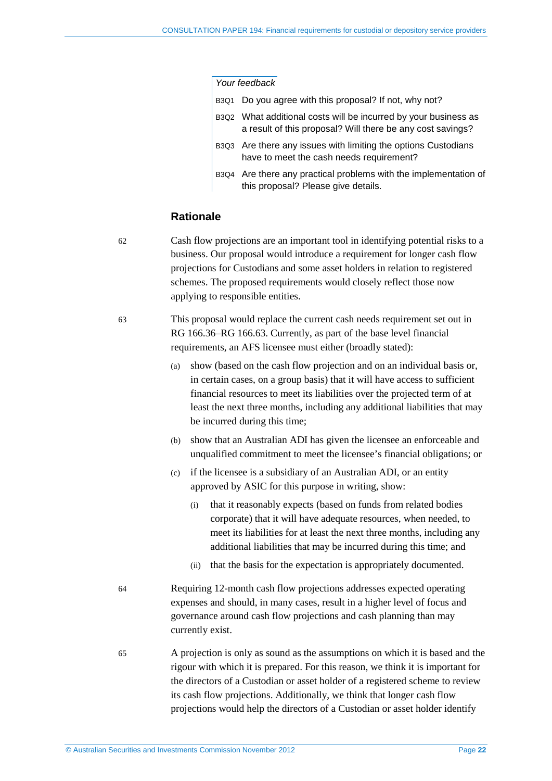#### *Your feedback*

|  | B3Q1 Do you agree with this proposal? If not, why not?                                                                        |
|--|-------------------------------------------------------------------------------------------------------------------------------|
|  | B3Q2 What additional costs will be incurred by your business as<br>a result of this proposal? Will there be any cost savings? |
|  | B3Q3 Are there any issues with limiting the options Custodians<br>have to meet the cash needs requirement?                    |
|  | B3Q4 Are there any practical problems with the implementation of<br>this proposal? Please give details.                       |

#### **Rationale**

<span id="page-21-0"></span>

62 Cash flow projections are an important tool in identifying potential risks to a business. Our proposal would introduce a requirement for longer cash flow projections for Custodians and some asset holders in relation to registered schemes. The proposed requirements would closely reflect those now applying to responsible entities.

63 This proposal would replace the current cash needs requirement set out in RG 166.36–RG 166.63. Currently, as part of the base level financial requirements, an AFS licensee must either (broadly stated):

- (a) show (based on the cash flow projection and on an individual basis or, in certain cases, on a group basis) that it will have access to sufficient financial resources to meet its liabilities over the projected term of at least the next three months, including any additional liabilities that may be incurred during this time;
- (b) show that an Australian ADI has given the licensee an enforceable and unqualified commitment to meet the licensee's financial obligations; or
- (c) if the licensee is a subsidiary of an Australian ADI, or an entity approved by ASIC for this purpose in writing, show:
	- (i) that it reasonably expects (based on funds from related bodies corporate) that it will have adequate resources, when needed, to meet its liabilities for at least the next three months, including any additional liabilities that may be incurred during this time; and
	- (ii) that the basis for the expectation is appropriately documented.
- 64 Requiring 12-month cash flow projections addresses expected operating expenses and should, in many cases, result in a higher level of focus and governance around cash flow projections and cash planning than may currently exist.
- 65 A projection is only as sound as the assumptions on which it is based and the rigour with which it is prepared. For this reason, we think it is important for the directors of a Custodian or asset holder of a registered scheme to review its cash flow projections. Additionally, we think that longer cash flow projections would help the directors of a Custodian or asset holder identify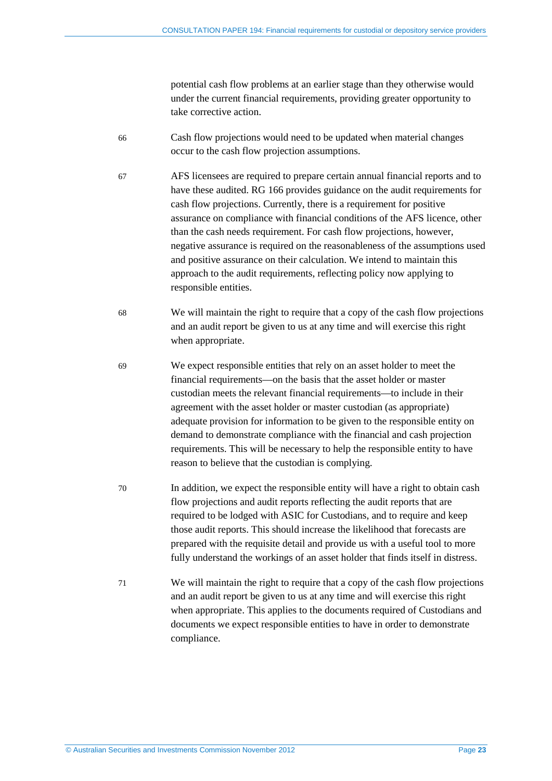potential cash flow problems at an earlier stage than they otherwise would under the current financial requirements, providing greater opportunity to take corrective action.

- 66 Cash flow projections would need to be updated when material changes occur to the cash flow projection assumptions.
- 67 AFS licensees are required to prepare certain annual financial reports and to have these audited. RG 166 provides guidance on the audit requirements for cash flow projections. Currently, there is a requirement for positive assurance on compliance with financial conditions of the AFS licence, other than the cash needs requirement. For cash flow projections, however, negative assurance is required on the reasonableness of the assumptions used and positive assurance on their calculation. We intend to maintain this approach to the audit requirements, reflecting policy now applying to responsible entities.
- 68 We will maintain the right to require that a copy of the cash flow projections and an audit report be given to us at any time and will exercise this right when appropriate.
- 69 We expect responsible entities that rely on an asset holder to meet the financial requirements—on the basis that the asset holder or master custodian meets the relevant financial requirements—to include in their agreement with the asset holder or master custodian (as appropriate) adequate provision for information to be given to the responsible entity on demand to demonstrate compliance with the financial and cash projection requirements. This will be necessary to help the responsible entity to have reason to believe that the custodian is complying.
- 70 In addition, we expect the responsible entity will have a right to obtain cash flow projections and audit reports reflecting the audit reports that are required to be lodged with ASIC for Custodians, and to require and keep those audit reports. This should increase the likelihood that forecasts are prepared with the requisite detail and provide us with a useful tool to more fully understand the workings of an asset holder that finds itself in distress.
- <span id="page-22-0"></span>71 We will maintain the right to require that a copy of the cash flow projections and an audit report be given to us at any time and will exercise this right when appropriate. This applies to the documents required of Custodians and documents we expect responsible entities to have in order to demonstrate compliance.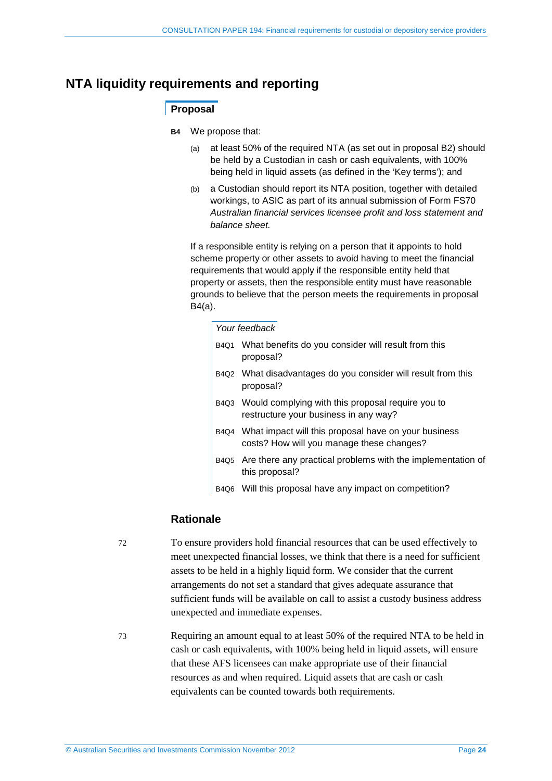## <span id="page-23-1"></span><span id="page-23-0"></span>**NTA liquidity requirements and reporting**

#### **Proposal**

- **B4** We propose that:
	- (a) at least 50% of the required NTA (as set out in proposal [B2\)](#page-17-0) should be held by a Custodian in cash or cash equivalents, with 100% being held in liquid assets (as defined in the 'Key terms'); and
	- (b) a Custodian should report its NTA position, together with detailed workings, to ASIC as part of its annual submission of Form FS70 *Australian financial services licensee profit and loss statement and balance sheet.*

If a responsible entity is relying on a person that it appoints to hold scheme property or other assets to avoid having to meet the financial requirements that would apply if the responsible entity held that property or assets, then the responsible entity must have reasonable grounds to believe that the person meets the requirements in proposal [B4\(](#page-23-1)a).

#### *Your feedback*

- B4Q1 What benefits do you consider will result from this proposal?
- B4Q2 What disadvantages do you consider will result from this proposal?
- B4Q3 Would complying with this proposal require you to restructure your business in any way?
- B4Q4 What impact will this proposal have on your business costs? How will you manage these changes?
- B4Q5 Are there any practical problems with the implementation of this proposal?
- B4Q6 Will this proposal have any impact on competition?

#### **Rationale**

<span id="page-23-2"></span>72 To ensure providers hold financial resources that can be used effectively to meet unexpected financial losses, we think that there is a need for sufficient assets to be held in a highly liquid form. We consider that the current arrangements do not set a standard that gives adequate assurance that sufficient funds will be available on call to assist a custody business address unexpected and immediate expenses.

73 Requiring an amount equal to at least 50% of the required NTA to be held in cash or cash equivalents, with 100% being held in liquid assets, will ensure that these AFS licensees can make appropriate use of their financial resources as and when required. Liquid assets that are cash or cash equivalents can be counted towards both requirements.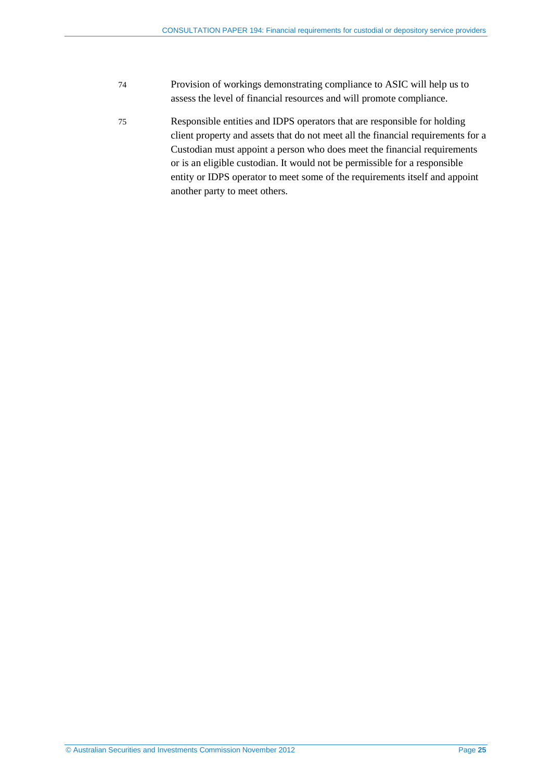- 74 Provision of workings demonstrating compliance to ASIC will help us to assess the level of financial resources and will promote compliance.
- 75 Responsible entities and IDPS operators that are responsible for holding client property and assets that do not meet all the financial requirements for a Custodian must appoint a person who does meet the financial requirements or is an eligible custodian. It would not be permissible for a responsible entity or IDPS operator to meet some of the requirements itself and appoint another party to meet others.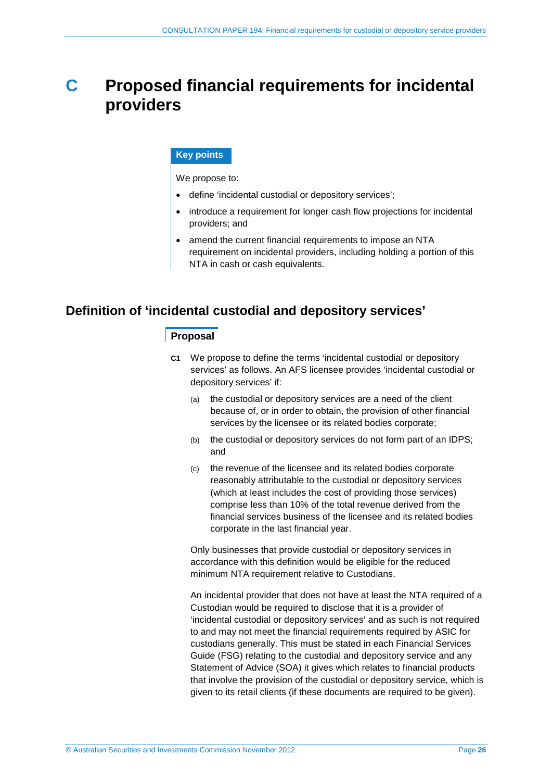## <span id="page-25-0"></span>**C Proposed financial requirements for incidental providers**

#### **Key points**

We propose to:

- define 'incidental custodial or depository services';
- introduce a requirement for longer cash flow projections for incidental providers; and
- amend the current financial requirements to impose an NTA requirement on incidental providers, including holding a portion of this NTA in cash or cash equivalents.

## <span id="page-25-2"></span><span id="page-25-1"></span>**Definition of 'incidental custodial and depository services'**

#### **Proposal**

- **C1** We propose to define the terms 'incidental custodial or depository services' as follows. An AFS licensee provides 'incidental custodial or depository services' if:
	- (a) the custodial or depository services are a need of the client because of, or in order to obtain, the provision of other financial services by the licensee or its related bodies corporate;
	- (b) the custodial or depository services do not form part of an IDPS; and
	- (c) the revenue of the licensee and its related bodies corporate reasonably attributable to the custodial or depository services (which at least includes the cost of providing those services) comprise less than 10% of the total revenue derived from the financial services business of the licensee and its related bodies corporate in the last financial year.

Only businesses that provide custodial or depository services in accordance with this definition would be eligible for the reduced minimum NTA requirement relative to Custodians.

An incidental provider that does not have at least the NTA required of a Custodian would be required to disclose that it is a provider of 'incidental custodial or depository services' and as such is not required to and may not meet the financial requirements required by ASIC for custodians generally. This must be stated in each Financial Services Guide (FSG) relating to the custodial and depository service and any Statement of Advice (SOA) it gives which relates to financial products that involve the provision of the custodial or depository service, which is given to its retail clients (if these documents are required to be given).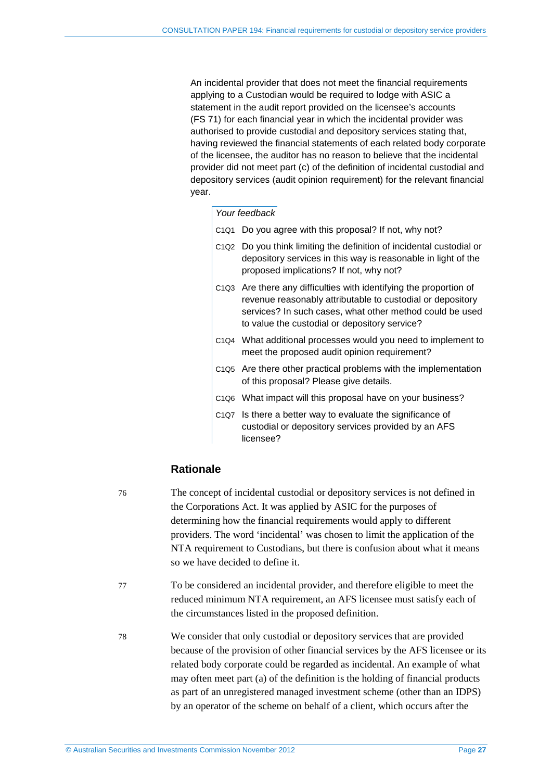An incidental provider that does not meet the financial requirements applying to a Custodian would be required to lodge with ASIC a statement in the audit report provided on the licensee's accounts (FS 71) for each financial year in which the incidental provider was authorised to provide custodial and depository services stating that, having reviewed the financial statements of each related body corporate of the licensee, the auditor has no reason to believe that the incidental provider did not meet part (c) of the definition of incidental custodial and depository services (audit opinion requirement) for the relevant financial year.

#### *Your feedback*

- C1Q1 Do you agree with this proposal? If not, why not?
- C1Q2 Do you think limiting the definition of incidental custodial or depository services in this way is reasonable in light of the proposed implications? If not, why not?
- C1Q3 Are there any difficulties with identifying the proportion of revenue reasonably attributable to custodial or depository services? In such cases, what other method could be used to value the custodial or depository service?
- C1Q4 What additional processes would you need to implement to meet the proposed audit opinion requirement?
- C1Q5 Are there other practical problems with the implementation of this proposal? Please give details.
- C1Q6 What impact will this proposal have on your business?
- C1Q7 Is there a better way to evaluate the significance of custodial or depository services provided by an AFS licensee?

#### **Rationale**

- 76 The concept of incidental custodial or depository services is not defined in the Corporations Act. It was applied by ASIC for the purposes of determining how the financial requirements would apply to different providers. The word 'incidental' was chosen to limit the application of the NTA requirement to Custodians, but there is confusion about what it means so we have decided to define it.
- 77 To be considered an incidental provider, and therefore eligible to meet the reduced minimum NTA requirement, an AFS licensee must satisfy each of the circumstances listed in the proposed definition.
- 78 We consider that only custodial or depository services that are provided because of the provision of other financial services by the AFS licensee or its related body corporate could be regarded as incidental. An example of what may often meet part (a) of the definition is the holding of financial products as part of an unregistered managed investment scheme (other than an IDPS) by an operator of the scheme on behalf of a client, which occurs after the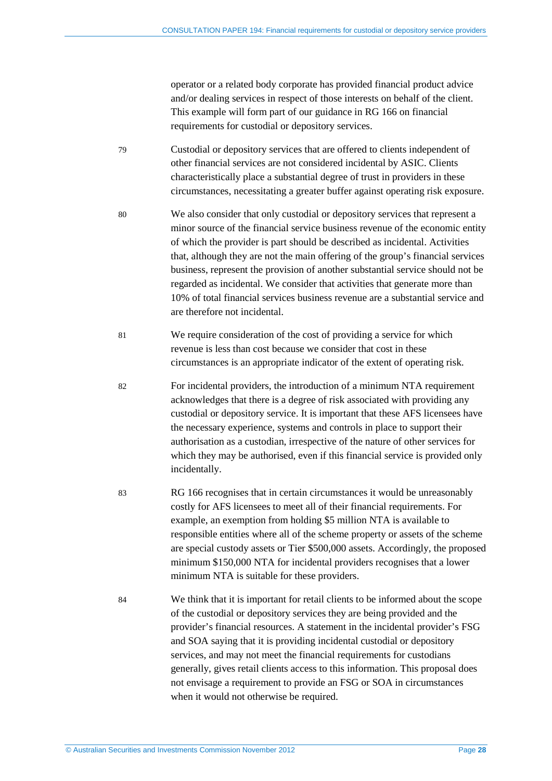operator or a related body corporate has provided financial product advice and/or dealing services in respect of those interests on behalf of the client. This example will form part of our guidance in RG 166 on financial requirements for custodial or depository services.

- 79 Custodial or depository services that are offered to clients independent of other financial services are not considered incidental by ASIC. Clients characteristically place a substantial degree of trust in providers in these circumstances, necessitating a greater buffer against operating risk exposure.
- 80 We also consider that only custodial or depository services that represent a minor source of the financial service business revenue of the economic entity of which the provider is part should be described as incidental. Activities that, although they are not the main offering of the group's financial services business, represent the provision of another substantial service should not be regarded as incidental. We consider that activities that generate more than 10% of total financial services business revenue are a substantial service and are therefore not incidental.
- 81 We require consideration of the cost of providing a service for which revenue is less than cost because we consider that cost in these circumstances is an appropriate indicator of the extent of operating risk.
- 82 For incidental providers, the introduction of a minimum NTA requirement acknowledges that there is a degree of risk associated with providing any custodial or depository service. It is important that these AFS licensees have the necessary experience, systems and controls in place to support their authorisation as a custodian, irrespective of the nature of other services for which they may be authorised, even if this financial service is provided only incidentally.
- 83 RG 166 recognises that in certain circumstances it would be unreasonably costly for AFS licensees to meet all of their financial requirements. For example, an exemption from holding \$5 million NTA is available to responsible entities where all of the scheme property or assets of the scheme are special custody assets or Tier \$500,000 assets. Accordingly, the proposed minimum \$150,000 NTA for incidental providers recognises that a lower minimum NTA is suitable for these providers.
- 84 We think that it is important for retail clients to be informed about the scope of the custodial or depository services they are being provided and the provider's financial resources. A statement in the incidental provider's FSG and SOA saying that it is providing incidental custodial or depository services, and may not meet the financial requirements for custodians generally, gives retail clients access to this information. This proposal does not envisage a requirement to provide an FSG or SOA in circumstances when it would not otherwise be required.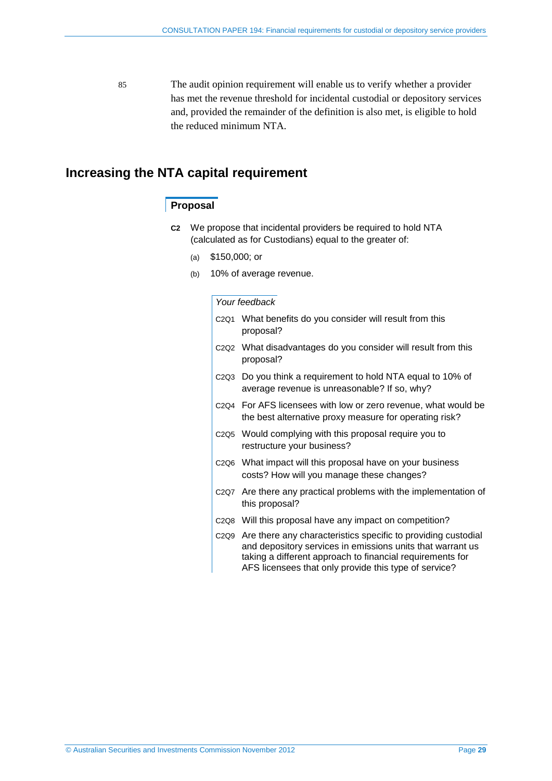85 The audit opinion requirement will enable us to verify whether a provider has met the revenue threshold for incidental custodial or depository services and, provided the remainder of the definition is also met, is eligible to hold the reduced minimum NTA.

### <span id="page-28-2"></span><span id="page-28-0"></span>**Increasing the NTA capital requirement**

#### **Proposal**

- **C2** We propose that incidental providers be required to hold NTA (calculated as for Custodians) equal to the greater of:
	- (a) \$150,000; or
	- (b) 10% of average revenue.

#### *Your feedback*

<span id="page-28-1"></span>

| C <sub>2Q1</sub> What benefits do you consider will result from this<br>proposal?                                                                                                                                                                                               |
|---------------------------------------------------------------------------------------------------------------------------------------------------------------------------------------------------------------------------------------------------------------------------------|
| C2Q2 What disadvantages do you consider will result from this<br>proposal?                                                                                                                                                                                                      |
| C2Q3 Do you think a requirement to hold NTA equal to 10% of<br>average revenue is unreasonable? If so, why?                                                                                                                                                                     |
| C <sub>2Q4</sub> For AFS licensees with low or zero revenue, what would be<br>the best alternative proxy measure for operating risk?                                                                                                                                            |
| C <sub>2Q5</sub> Would complying with this proposal require you to<br>restructure your business?                                                                                                                                                                                |
| C <sub>2</sub> Q <sub>6</sub> What impact will this proposal have on your business<br>costs? How will you manage these changes?                                                                                                                                                 |
| C2Q7 Are there any practical problems with the implementation of<br>this proposal?                                                                                                                                                                                              |
| C2Q8 Will this proposal have any impact on competition?                                                                                                                                                                                                                         |
| C <sub>2</sub> Q <sub>9</sub> Are there any characteristics specific to providing custodial<br>and depository services in emissions units that warrant us<br>taking a different approach to financial requirements for<br>AFS licensees that only provide this type of service? |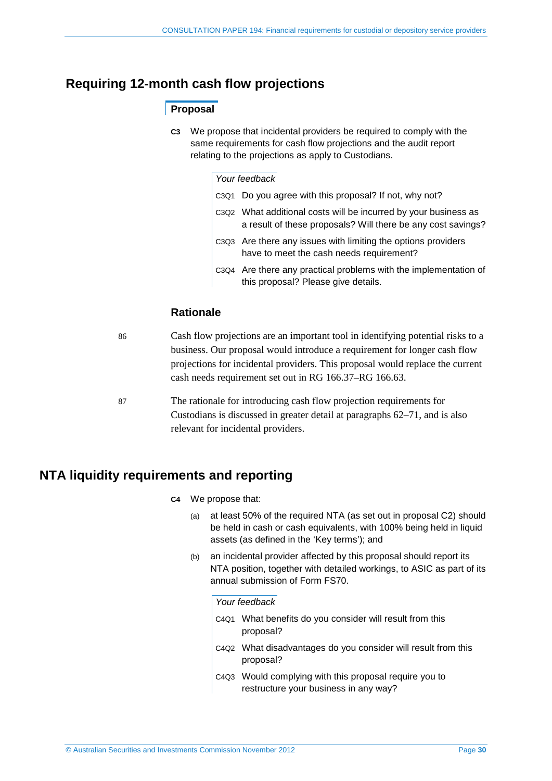## **Requiring 12-month cash flow projections**

### **Proposal**

**C3** We propose that incidental providers be required to comply with the same requirements for cash flow projections and the audit report relating to the projections as apply to Custodians.

#### *Your feedback*

| C3Q1 Do you agree with this proposal? If not, why not?                                                                          |
|---------------------------------------------------------------------------------------------------------------------------------|
| C3Q2 What additional costs will be incurred by your business as<br>a result of these proposals? Will there be any cost savings? |
| C3Q3 Are there any issues with limiting the options providers<br>have to meet the cash needs requirement?                       |
| C3Q4 Are there any practical problems with the implementation of<br>this proposal? Please give details.                         |

#### **Rationale**

| 86 | Cash flow projections are an important tool in identifying potential risks to a<br>business. Our proposal would introduce a requirement for longer cash flow<br>projections for incidental providers. This proposal would replace the current<br>cash needs requirement set out in RG 166.37–RG 166.63. |
|----|---------------------------------------------------------------------------------------------------------------------------------------------------------------------------------------------------------------------------------------------------------------------------------------------------------|
| 87 | The rationale for introducing cash flow projection requirements for<br>Custodians is discussed in greater detail at paragraphs $62-71$ , and is also<br>relevant for incidental providers.                                                                                                              |

## <span id="page-29-0"></span>**NTA liquidity requirements and reporting**

- **C4** We propose that:
	- (a) at least 50% of the required NTA (as set out in proposal [C2\)](#page-28-2) should be held in cash or cash equivalents, with 100% being held in liquid assets (as defined in the 'Key terms'); and
	- (b) an incidental provider affected by this proposal should report its NTA position, together with detailed workings, to ASIC as part of its annual submission of Form FS70.

#### *Your feedback*

- C4Q1 What benefits do you consider will result from this proposal?
- C4Q2 What disadvantages do you consider will result from this proposal?
- C4Q3 Would complying with this proposal require you to restructure your business in any way?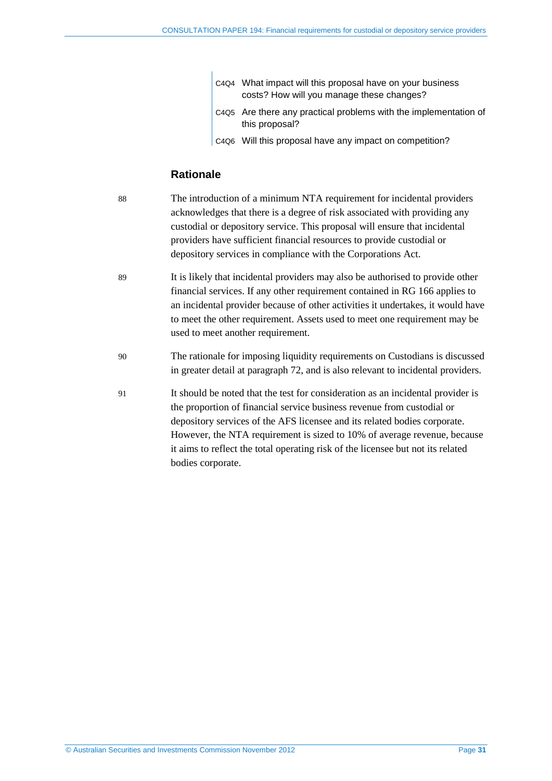|  | C4Q4 What impact will this proposal have on your business<br>costs? How will you manage these changes? |
|--|--------------------------------------------------------------------------------------------------------|
|  | C4Q5 Are there any practical problems with the implementation of<br>this proposal?                     |
|  | C4Q6 Will this proposal have any impact on competition?                                                |

### **Rationale**

| 88 | The introduction of a minimum NTA requirement for incidental providers<br>acknowledges that there is a degree of risk associated with providing any<br>custodial or depository service. This proposal will ensure that incidental<br>providers have sufficient financial resources to provide custodial or<br>depository services in compliance with the Corporations Act.                                                 |
|----|----------------------------------------------------------------------------------------------------------------------------------------------------------------------------------------------------------------------------------------------------------------------------------------------------------------------------------------------------------------------------------------------------------------------------|
| 89 | It is likely that incidental providers may also be authorised to provide other<br>financial services. If any other requirement contained in RG 166 applies to<br>an incidental provider because of other activities it undertakes, it would have<br>to meet the other requirement. Assets used to meet one requirement may be<br>used to meet another requirement.                                                         |
| 90 | The rationale for imposing liquidity requirements on Custodians is discussed<br>in greater detail at paragraph 72, and is also relevant to incidental providers.                                                                                                                                                                                                                                                           |
| 91 | It should be noted that the test for consideration as an incidental provider is<br>the proportion of financial service business revenue from custodial or<br>depository services of the AFS licensee and its related bodies corporate.<br>However, the NTA requirement is sized to 10% of average revenue, because<br>it aims to reflect the total operating risk of the licensee but not its related<br>bodies corporate. |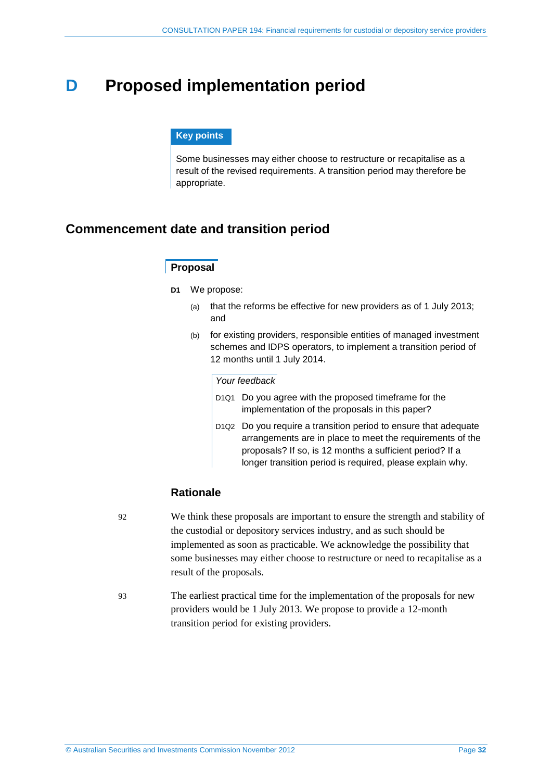## <span id="page-31-0"></span>**D Proposed implementation period**

#### **Key points**

Some businesses may either choose to restructure or recapitalise as a result of the revised requirements. A transition period may therefore be appropriate.

## <span id="page-31-1"></span>**Commencement date and transition period**

#### **Proposal**

- **D1** We propose:
	- (a) that the reforms be effective for new providers as of 1 July 2013; and
	- (b) for existing providers, responsible entities of managed investment schemes and IDPS operators, to implement a transition period of 12 months until 1 July 2014.

#### *Your feedback*

- D1Q1 Do you agree with the proposed timeframe for the implementation of the proposals in this paper?
- D1Q2 Do you require a transition period to ensure that adequate arrangements are in place to meet the requirements of the proposals? If so, is 12 months a sufficient period? If a longer transition period is required, please explain why.

#### **Rationale**

- 92 We think these proposals are important to ensure the strength and stability of the custodial or depository services industry, and as such should be implemented as soon as practicable. We acknowledge the possibility that some businesses may either choose to restructure or need to recapitalise as a result of the proposals.
- 93 The earliest practical time for the implementation of the proposals for new providers would be 1 July 2013. We propose to provide a 12-month transition period for existing providers.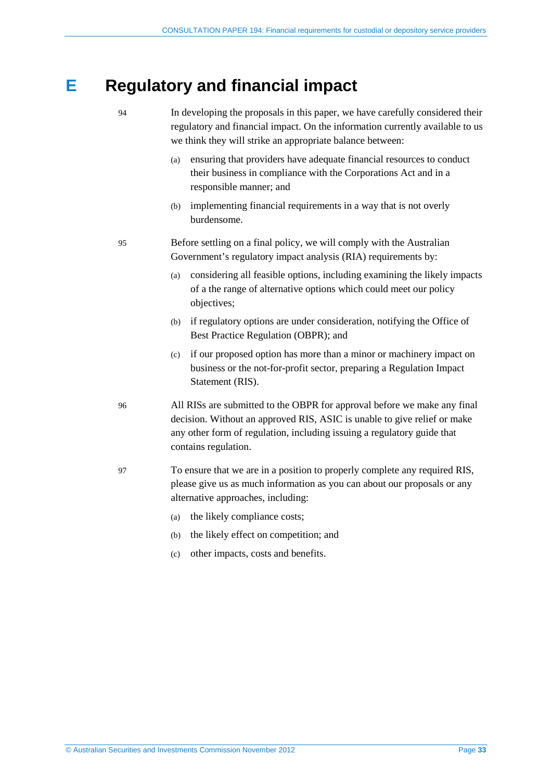## <span id="page-32-0"></span>**E Regulatory and financial impact**

- 94 In developing the proposals in this paper, we have carefully considered their regulatory and financial impact. On the information currently available to us we think they will strike an appropriate balance between: (a) ensuring that providers have adequate financial resources to conduct their business in compliance with the Corporations Act and in a responsible manner; and (b) implementing financial requirements in a way that is not overly burdensome. 95 Before settling on a final policy, we will comply with the Australian Government's regulatory impact analysis (RIA) requirements by: (a) considering all feasible options, including examining the likely impacts of a the range of alternative options which could meet our policy objectives; (b) if regulatory options are under consideration, notifying the Office of Best Practice Regulation (OBPR); and (c) if our proposed option has more than a minor or machinery impact on business or the not-for-profit sector, preparing a Regulation Impact Statement (RIS). 96 All RISs are submitted to the OBPR for approval before we make any final decision. Without an approved RIS, ASIC is unable to give relief or make any other form of regulation, including issuing a regulatory guide that contains regulation. 97 To ensure that we are in a position to properly complete any required RIS, please give us as much information as you can about our proposals or any alternative approaches, including: (a) the likely compliance costs;
	- (b) the likely effect on competition; and
	- (c) other impacts, costs and benefits.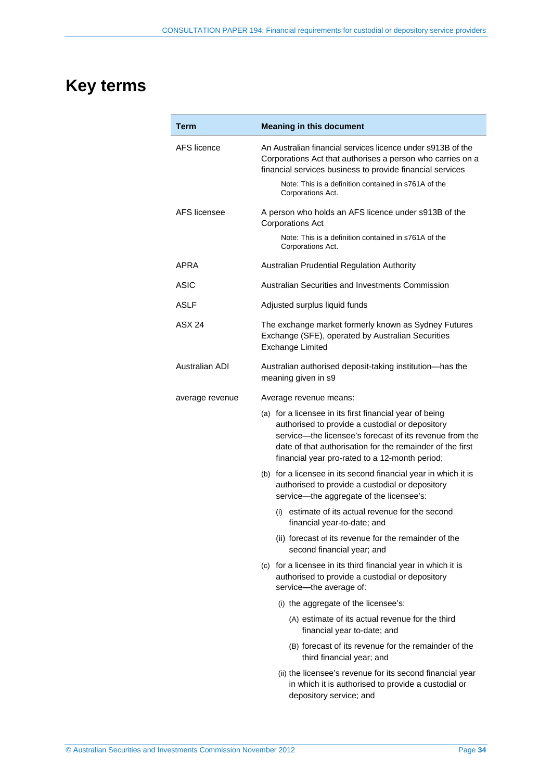## **Key terms**

| <b>Term</b>     | <b>Meaning in this document</b>                                                                                                                                                                                                                                                      |  |  |
|-----------------|--------------------------------------------------------------------------------------------------------------------------------------------------------------------------------------------------------------------------------------------------------------------------------------|--|--|
| AFS licence     | An Australian financial services licence under s913B of the<br>Corporations Act that authorises a person who carries on a<br>financial services business to provide financial services                                                                                               |  |  |
|                 | Note: This is a definition contained in s761A of the<br>Corporations Act.                                                                                                                                                                                                            |  |  |
| AFS licensee    | A person who holds an AFS licence under s913B of the<br><b>Corporations Act</b>                                                                                                                                                                                                      |  |  |
|                 | Note: This is a definition contained in s761A of the<br>Corporations Act.                                                                                                                                                                                                            |  |  |
| APRA            | Australian Prudential Regulation Authority                                                                                                                                                                                                                                           |  |  |
| <b>ASIC</b>     | Australian Securities and Investments Commission                                                                                                                                                                                                                                     |  |  |
| <b>ASLF</b>     | Adjusted surplus liquid funds                                                                                                                                                                                                                                                        |  |  |
| ASX 24          | The exchange market formerly known as Sydney Futures<br>Exchange (SFE), operated by Australian Securities<br><b>Exchange Limited</b>                                                                                                                                                 |  |  |
| Australian ADI  | Australian authorised deposit-taking institution-has the<br>meaning given in s9                                                                                                                                                                                                      |  |  |
| average revenue | Average revenue means:                                                                                                                                                                                                                                                               |  |  |
|                 | (a) for a licensee in its first financial year of being<br>authorised to provide a custodial or depository<br>service—the licensee's forecast of its revenue from the<br>date of that authorisation for the remainder of the first<br>financial year pro-rated to a 12-month period; |  |  |
|                 | (b) for a licensee in its second financial year in which it is<br>authorised to provide a custodial or depository<br>service-the aggregate of the licensee's:                                                                                                                        |  |  |
|                 | (i) estimate of its actual revenue for the second<br>financial year-to-date; and                                                                                                                                                                                                     |  |  |
|                 | (ii) forecast of its revenue for the remainder of the<br>second financial year; and                                                                                                                                                                                                  |  |  |
|                 | (c) for a licensee in its third financial year in which it is<br>authorised to provide a custodial or depository<br>service--the average of:                                                                                                                                         |  |  |
|                 | (i) the aggregate of the licensee's:                                                                                                                                                                                                                                                 |  |  |
|                 | (A) estimate of its actual revenue for the third<br>financial year to-date; and                                                                                                                                                                                                      |  |  |
|                 | (B) forecast of its revenue for the remainder of the<br>third financial year; and                                                                                                                                                                                                    |  |  |
|                 | (ii) the licensee's revenue for its second financial year<br>in which it is authorised to provide a custodial or<br>depository service; and                                                                                                                                          |  |  |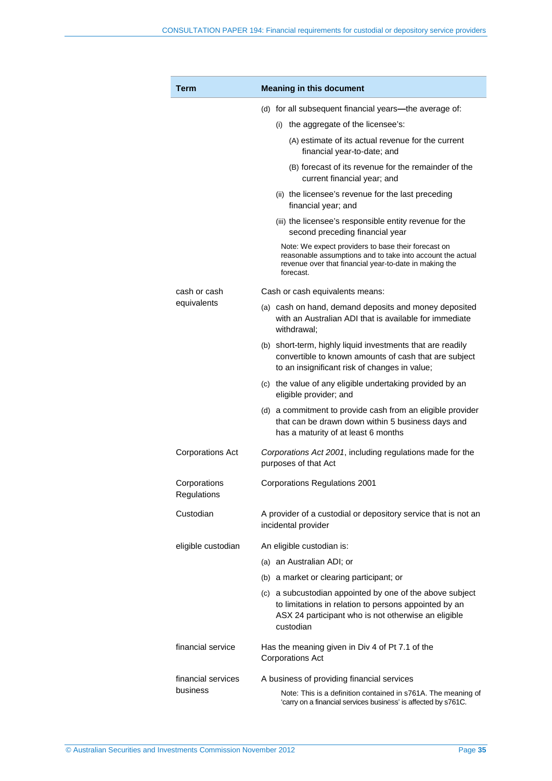| Term                                                             | <b>Meaning in this document</b>                                                                                                                                                          |  |
|------------------------------------------------------------------|------------------------------------------------------------------------------------------------------------------------------------------------------------------------------------------|--|
|                                                                  | (d) for all subsequent financial years—the average of:                                                                                                                                   |  |
|                                                                  | (i) the aggregate of the licensee's:                                                                                                                                                     |  |
|                                                                  | (A) estimate of its actual revenue for the current<br>financial year-to-date; and                                                                                                        |  |
|                                                                  | (B) forecast of its revenue for the remainder of the<br>current financial year; and                                                                                                      |  |
|                                                                  | (ii) the licensee's revenue for the last preceding<br>financial year; and                                                                                                                |  |
|                                                                  | (iii) the licensee's responsible entity revenue for the<br>second preceding financial year                                                                                               |  |
|                                                                  | Note: We expect providers to base their forecast on<br>reasonable assumptions and to take into account the actual<br>revenue over that financial year-to-date in making the<br>forecast. |  |
| cash or cash                                                     | Cash or cash equivalents means:                                                                                                                                                          |  |
| equivalents                                                      | (a) cash on hand, demand deposits and money deposited<br>with an Australian ADI that is available for immediate<br>withdrawal:                                                           |  |
|                                                                  | (b) short-term, highly liquid investments that are readily<br>convertible to known amounts of cash that are subject<br>to an insignificant risk of changes in value;                     |  |
|                                                                  | (c) the value of any eligible undertaking provided by an<br>eligible provider; and                                                                                                       |  |
|                                                                  | (d) a commitment to provide cash from an eligible provider<br>that can be drawn down within 5 business days and<br>has a maturity of at least 6 months                                   |  |
| <b>Corporations Act</b>                                          | Corporations Act 2001, including regulations made for the<br>purposes of that Act                                                                                                        |  |
| Corporations<br>Regulations                                      | <b>Corporations Regulations 2001</b>                                                                                                                                                     |  |
| Custodian                                                        | A provider of a custodial or depository service that is not an<br>incidental provider                                                                                                    |  |
| eligible custodian                                               | An eligible custodian is:                                                                                                                                                                |  |
|                                                                  | (a) an Australian ADI; or                                                                                                                                                                |  |
|                                                                  | (b) a market or clearing participant; or                                                                                                                                                 |  |
|                                                                  | (c) a subcustodian appointed by one of the above subject<br>to limitations in relation to persons appointed by an<br>ASX 24 participant who is not otherwise an eligible<br>custodian    |  |
| financial service                                                | Has the meaning given in Div 4 of Pt 7.1 of the<br><b>Corporations Act</b>                                                                                                               |  |
| financial services<br>A business of providing financial services |                                                                                                                                                                                          |  |
| business                                                         | Note: This is a definition contained in s761A. The meaning of<br>'carry on a financial services business' is affected by s761C.                                                          |  |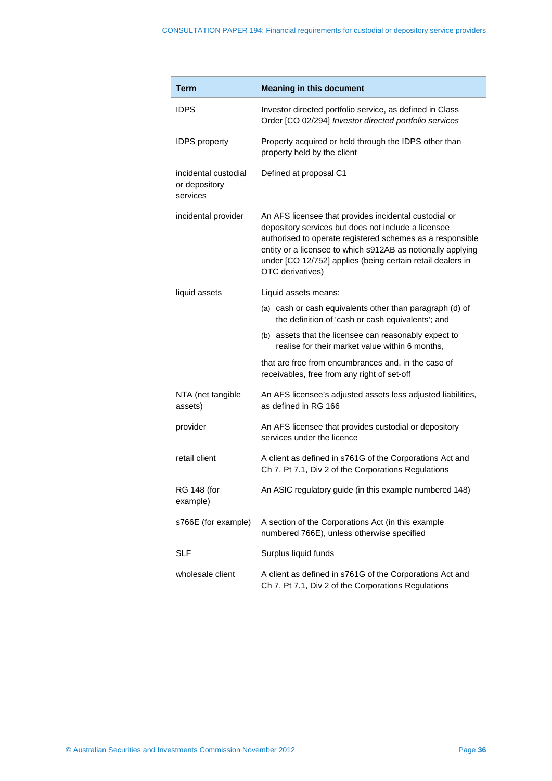| <b>Term</b>                                       | <b>Meaning in this document</b>                                                                                                                                                                                                                                                                                            |
|---------------------------------------------------|----------------------------------------------------------------------------------------------------------------------------------------------------------------------------------------------------------------------------------------------------------------------------------------------------------------------------|
| <b>IDPS</b>                                       | Investor directed portfolio service, as defined in Class<br>Order [CO 02/294] Investor directed portfolio services                                                                                                                                                                                                         |
| <b>IDPS</b> property                              | Property acquired or held through the IDPS other than<br>property held by the client                                                                                                                                                                                                                                       |
| incidental custodial<br>or depository<br>services | Defined at proposal C1                                                                                                                                                                                                                                                                                                     |
| incidental provider                               | An AFS licensee that provides incidental custodial or<br>depository services but does not include a licensee<br>authorised to operate registered schemes as a responsible<br>entity or a licensee to which s912AB as notionally applying<br>under [CO 12/752] applies (being certain retail dealers in<br>OTC derivatives) |
| liquid assets                                     | Liquid assets means:                                                                                                                                                                                                                                                                                                       |
|                                                   | (a) cash or cash equivalents other than paragraph (d) of<br>the definition of 'cash or cash equivalents'; and                                                                                                                                                                                                              |
|                                                   | (b) assets that the licensee can reasonably expect to<br>realise for their market value within 6 months,                                                                                                                                                                                                                   |
|                                                   | that are free from encumbrances and, in the case of<br>receivables, free from any right of set-off                                                                                                                                                                                                                         |
| NTA (net tangible<br>assets)                      | An AFS licensee's adjusted assets less adjusted liabilities,<br>as defined in RG 166                                                                                                                                                                                                                                       |
| provider                                          | An AFS licensee that provides custodial or depository<br>services under the licence                                                                                                                                                                                                                                        |
| retail client                                     | A client as defined in s761G of the Corporations Act and<br>Ch 7, Pt 7.1, Div 2 of the Corporations Regulations                                                                                                                                                                                                            |
| <b>RG 148 (for</b><br>example)                    | An ASIC regulatory guide (in this example numbered 148)                                                                                                                                                                                                                                                                    |
| s766E (for example)                               | A section of the Corporations Act (in this example<br>numbered 766E), unless otherwise specified                                                                                                                                                                                                                           |
| <b>SLF</b>                                        | Surplus liquid funds                                                                                                                                                                                                                                                                                                       |
| wholesale client                                  | A client as defined in s761G of the Corporations Act and<br>Ch 7, Pt 7.1, Div 2 of the Corporations Regulations                                                                                                                                                                                                            |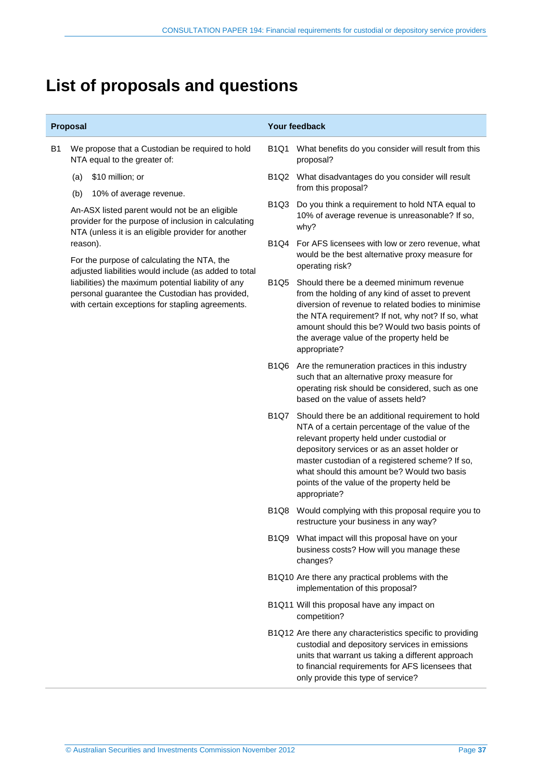## **List of proposals and questions**

| Proposal |                                                                                                                                                                                                                                                                               |             | <b>Your feedback</b>                                                                                                                                                                                                                                                                                                                                               |  |  |
|----------|-------------------------------------------------------------------------------------------------------------------------------------------------------------------------------------------------------------------------------------------------------------------------------|-------------|--------------------------------------------------------------------------------------------------------------------------------------------------------------------------------------------------------------------------------------------------------------------------------------------------------------------------------------------------------------------|--|--|
| B1       | We propose that a Custodian be required to hold<br>NTA equal to the greater of:                                                                                                                                                                                               | B1Q1        | What benefits do you consider will result from this<br>proposal?                                                                                                                                                                                                                                                                                                   |  |  |
|          | \$10 million; or<br>(a)                                                                                                                                                                                                                                                       |             | B1Q2 What disadvantages do you consider will result                                                                                                                                                                                                                                                                                                                |  |  |
|          | (b)<br>10% of average revenue.                                                                                                                                                                                                                                                |             | from this proposal?                                                                                                                                                                                                                                                                                                                                                |  |  |
|          | An-ASX listed parent would not be an eligible<br>provider for the purpose of inclusion in calculating<br>NTA (unless it is an eligible provider for another                                                                                                                   | <b>B1Q3</b> | Do you think a requirement to hold NTA equal to<br>10% of average revenue is unreasonable? If so,<br>why?                                                                                                                                                                                                                                                          |  |  |
|          | reason).<br>For the purpose of calculating the NTA, the<br>adjusted liabilities would include (as added to total<br>liabilities) the maximum potential liability of any<br>personal guarantee the Custodian has provided,<br>with certain exceptions for stapling agreements. | B1Q4        | For AFS licensees with low or zero revenue, what<br>would be the best alternative proxy measure for<br>operating risk?                                                                                                                                                                                                                                             |  |  |
|          |                                                                                                                                                                                                                                                                               | B1Q5        | Should there be a deemed minimum revenue<br>from the holding of any kind of asset to prevent<br>diversion of revenue to related bodies to minimise<br>the NTA requirement? If not, why not? If so, what<br>amount should this be? Would two basis points of<br>the average value of the property held be<br>appropriate?                                           |  |  |
|          |                                                                                                                                                                                                                                                                               | <b>B1Q6</b> | Are the remuneration practices in this industry<br>such that an alternative proxy measure for<br>operating risk should be considered, such as one<br>based on the value of assets held?                                                                                                                                                                            |  |  |
|          |                                                                                                                                                                                                                                                                               | <b>B1Q7</b> | Should there be an additional requirement to hold<br>NTA of a certain percentage of the value of the<br>relevant property held under custodial or<br>depository services or as an asset holder or<br>master custodian of a registered scheme? If so,<br>what should this amount be? Would two basis<br>points of the value of the property held be<br>appropriate? |  |  |
|          |                                                                                                                                                                                                                                                                               | B1Q8        | Would complying with this proposal require you to<br>restructure your business in any way?                                                                                                                                                                                                                                                                         |  |  |
|          |                                                                                                                                                                                                                                                                               |             | B1Q9 What impact will this proposal have on your<br>business costs? How will you manage these<br>changes?                                                                                                                                                                                                                                                          |  |  |
|          |                                                                                                                                                                                                                                                                               |             | B1Q10 Are there any practical problems with the<br>implementation of this proposal?                                                                                                                                                                                                                                                                                |  |  |
|          |                                                                                                                                                                                                                                                                               |             | B1Q11 Will this proposal have any impact on<br>competition?                                                                                                                                                                                                                                                                                                        |  |  |
|          |                                                                                                                                                                                                                                                                               |             | B1Q12 Are there any characteristics specific to providing<br>custodial and depository services in emissions<br>units that warrant us taking a different approach                                                                                                                                                                                                   |  |  |

to financial requirements for AFS licensees that

only provide this type of service?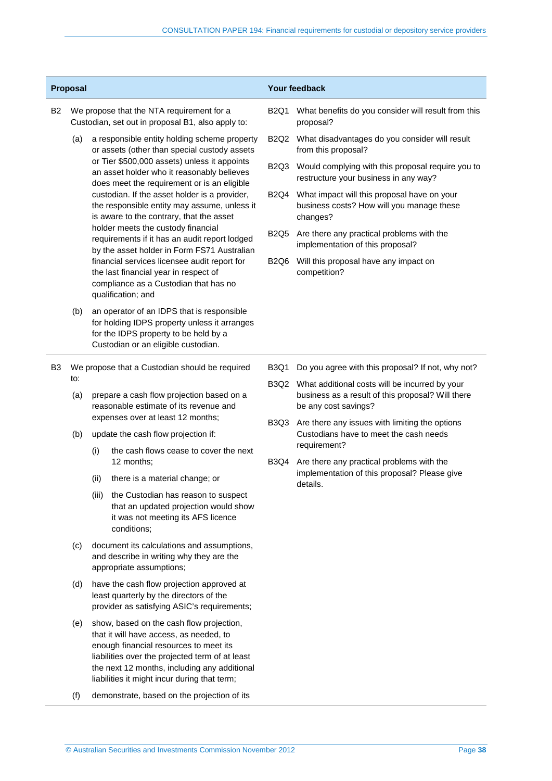| Proposal       |                                                                                                |                                                                                                                                                                                                                                                                                                                                                                                                                                                                                                                              |                                                                                                                                                                                                                                                                                  |                                                                                                      | Your feedback                                                                                            |
|----------------|------------------------------------------------------------------------------------------------|------------------------------------------------------------------------------------------------------------------------------------------------------------------------------------------------------------------------------------------------------------------------------------------------------------------------------------------------------------------------------------------------------------------------------------------------------------------------------------------------------------------------------|----------------------------------------------------------------------------------------------------------------------------------------------------------------------------------------------------------------------------------------------------------------------------------|------------------------------------------------------------------------------------------------------|----------------------------------------------------------------------------------------------------------|
| <b>B2</b>      | We propose that the NTA requirement for a<br>Custodian, set out in proposal B1, also apply to: |                                                                                                                                                                                                                                                                                                                                                                                                                                                                                                                              |                                                                                                                                                                                                                                                                                  | B2Q1                                                                                                 | What benefits do you consider will result from this<br>proposal?                                         |
|                | (a)                                                                                            | a responsible entity holding scheme property<br>or assets (other than special custody assets<br>or Tier \$500,000 assets) unless it appoints<br>an asset holder who it reasonably believes<br>does meet the requirement or is an eligible<br>custodian. If the asset holder is a provider,<br>the responsible entity may assume, unless it<br>is aware to the contrary, that the asset<br>holder meets the custody financial<br>requirements if it has an audit report lodged<br>by the asset holder in Form FS71 Australian |                                                                                                                                                                                                                                                                                  | B2Q2 What disadvantages do you consider will result<br>from this proposal?                           |                                                                                                          |
|                |                                                                                                |                                                                                                                                                                                                                                                                                                                                                                                                                                                                                                                              | B <sub>2</sub> Q <sub>3</sub>                                                                                                                                                                                                                                                    | Would complying with this proposal require you to<br>restructure your business in any way?           |                                                                                                          |
|                |                                                                                                |                                                                                                                                                                                                                                                                                                                                                                                                                                                                                                                              | <b>B2Q4</b>                                                                                                                                                                                                                                                                      | What impact will this proposal have on your<br>business costs? How will you manage these<br>changes? |                                                                                                          |
|                |                                                                                                |                                                                                                                                                                                                                                                                                                                                                                                                                                                                                                                              | <b>B2Q5</b>                                                                                                                                                                                                                                                                      | Are there any practical problems with the<br>implementation of this proposal?                        |                                                                                                          |
|                |                                                                                                |                                                                                                                                                                                                                                                                                                                                                                                                                                                                                                                              | financial services licensee audit report for<br>the last financial year in respect of<br>compliance as a Custodian that has no<br>qualification; and                                                                                                                             | <b>B2Q6</b>                                                                                          | Will this proposal have any impact on<br>competition?                                                    |
|                | (b)                                                                                            |                                                                                                                                                                                                                                                                                                                                                                                                                                                                                                                              | an operator of an IDPS that is responsible<br>for holding IDPS property unless it arranges<br>for the IDPS property to be held by a<br>Custodian or an eligible custodian.                                                                                                       |                                                                                                      |                                                                                                          |
| B <sub>3</sub> | We propose that a Custodian should be required                                                 |                                                                                                                                                                                                                                                                                                                                                                                                                                                                                                                              |                                                                                                                                                                                                                                                                                  | B3Q1                                                                                                 | Do you agree with this proposal? If not, why not?                                                        |
|                | (a)                                                                                            | to:<br>prepare a cash flow projection based on a<br>reasonable estimate of its revenue and                                                                                                                                                                                                                                                                                                                                                                                                                                   |                                                                                                                                                                                                                                                                                  | be any cost savings?                                                                                 | B3Q2 What additional costs will be incurred by your<br>business as a result of this proposal? Will there |
|                | (b)                                                                                            | expenses over at least 12 months;<br>update the cash flow projection if:                                                                                                                                                                                                                                                                                                                                                                                                                                                     | B <sub>3</sub> Q <sub>3</sub>                                                                                                                                                                                                                                                    | Are there any issues with limiting the options<br>Custodians have to meet the cash needs             |                                                                                                          |
|                |                                                                                                | (i)                                                                                                                                                                                                                                                                                                                                                                                                                                                                                                                          | the cash flows cease to cover the next<br>12 months;                                                                                                                                                                                                                             | B3Q4                                                                                                 | requirement?<br>Are there any practical problems with the                                                |
|                |                                                                                                | (ii)                                                                                                                                                                                                                                                                                                                                                                                                                                                                                                                         | there is a material change; or                                                                                                                                                                                                                                                   |                                                                                                      | implementation of this proposal? Please give<br>details.                                                 |
|                |                                                                                                | (iii)                                                                                                                                                                                                                                                                                                                                                                                                                                                                                                                        | the Custodian has reason to suspect<br>that an updated projection would show<br>it was not meeting its AFS licence<br>conditions;                                                                                                                                                |                                                                                                      |                                                                                                          |
|                | (c)                                                                                            |                                                                                                                                                                                                                                                                                                                                                                                                                                                                                                                              | document its calculations and assumptions,<br>and describe in writing why they are the<br>appropriate assumptions;                                                                                                                                                               |                                                                                                      |                                                                                                          |
|                | (d)                                                                                            | have the cash flow projection approved at<br>least quarterly by the directors of the<br>provider as satisfying ASIC's requirements;                                                                                                                                                                                                                                                                                                                                                                                          |                                                                                                                                                                                                                                                                                  |                                                                                                      |                                                                                                          |
|                | (e)                                                                                            |                                                                                                                                                                                                                                                                                                                                                                                                                                                                                                                              | show, based on the cash flow projection,<br>that it will have access, as needed, to<br>enough financial resources to meet its<br>liabilities over the projected term of at least<br>the next 12 months, including any additional<br>liabilities it might incur during that term; |                                                                                                      |                                                                                                          |
|                | (f)                                                                                            |                                                                                                                                                                                                                                                                                                                                                                                                                                                                                                                              | demonstrate, based on the projection of its                                                                                                                                                                                                                                      |                                                                                                      |                                                                                                          |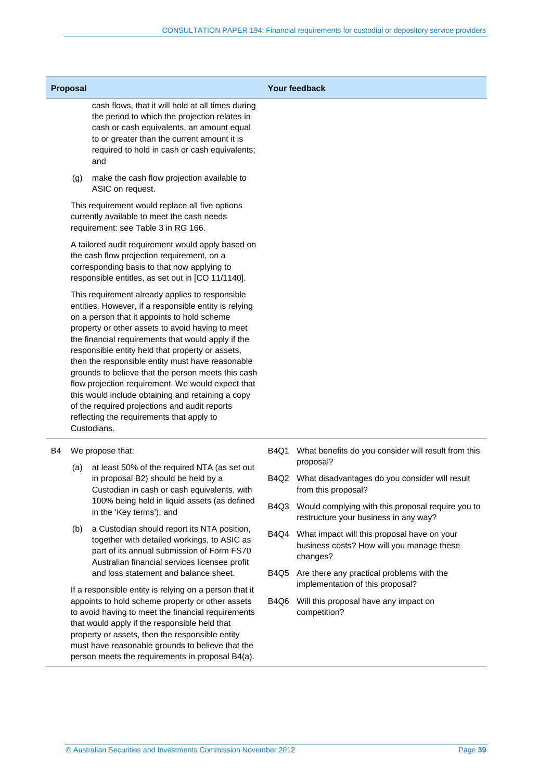| <b>Proposal</b>                                                                                                                                                                                     |     | <b>Your feedback</b>                                                                                                                                                                                                                                                                                                                                                                                                                                                                                                                                                                                                                                   |      |                                                                                            |
|-----------------------------------------------------------------------------------------------------------------------------------------------------------------------------------------------------|-----|--------------------------------------------------------------------------------------------------------------------------------------------------------------------------------------------------------------------------------------------------------------------------------------------------------------------------------------------------------------------------------------------------------------------------------------------------------------------------------------------------------------------------------------------------------------------------------------------------------------------------------------------------------|------|--------------------------------------------------------------------------------------------|
|                                                                                                                                                                                                     |     | cash flows, that it will hold at all times during<br>the period to which the projection relates in<br>cash or cash equivalents, an amount equal<br>to or greater than the current amount it is<br>required to hold in cash or cash equivalents;<br>and                                                                                                                                                                                                                                                                                                                                                                                                 |      |                                                                                            |
|                                                                                                                                                                                                     | (g) | make the cash flow projection available to<br>ASIC on request.                                                                                                                                                                                                                                                                                                                                                                                                                                                                                                                                                                                         |      |                                                                                            |
|                                                                                                                                                                                                     |     | This requirement would replace all five options<br>currently available to meet the cash needs<br>requirement: see Table 3 in RG 166.                                                                                                                                                                                                                                                                                                                                                                                                                                                                                                                   |      |                                                                                            |
| A tailored audit requirement would apply based on<br>the cash flow projection requirement, on a<br>corresponding basis to that now applying to<br>responsible entitles, as set out in [CO 11/1140]. |     |                                                                                                                                                                                                                                                                                                                                                                                                                                                                                                                                                                                                                                                        |      |                                                                                            |
|                                                                                                                                                                                                     |     | This requirement already applies to responsible<br>entities. However, if a responsible entity is relying<br>on a person that it appoints to hold scheme<br>property or other assets to avoid having to meet<br>the financial requirements that would apply if the<br>responsible entity held that property or assets,<br>then the responsible entity must have reasonable<br>grounds to believe that the person meets this cash<br>flow projection requirement. We would expect that<br>this would include obtaining and retaining a copy<br>of the required projections and audit reports<br>reflecting the requirements that apply to<br>Custodians. |      |                                                                                            |
| B4                                                                                                                                                                                                  |     | We propose that:                                                                                                                                                                                                                                                                                                                                                                                                                                                                                                                                                                                                                                       | B4Q1 | What benefits do you consider will result from this                                        |
|                                                                                                                                                                                                     | (a) | at least 50% of the required NTA (as set out<br>in proposal B2) should be held by a<br>Custodian in cash or cash equivalents, with<br>100% being held in liquid assets (as defined<br>in the 'Key terms'); and                                                                                                                                                                                                                                                                                                                                                                                                                                         |      | proposal?<br>B4Q2 What disadvantages do you consider will result<br>from this proposal?    |
|                                                                                                                                                                                                     |     |                                                                                                                                                                                                                                                                                                                                                                                                                                                                                                                                                                                                                                                        | B4Q3 | Would complying with this proposal require you to<br>restructure your business in any way? |

(b) a Custodian should report its NTA position, together with detailed workings, to ASIC as part of its annual submission of Form FS70 Australian financial services licensee profit and loss statement and balance sheet.

If a responsible entity is relying on a person that it appoints to hold scheme property or other assets to avoid having to meet the financial requirements that would apply if the responsible held that property or assets, then the responsible entity must have reasonable grounds to believe that the person meets the requirements in proposal B4(a).

changes? B4Q5 Are there any practical problems with the implementation of this proposal?

B4Q4 What impact will this proposal have on your

business costs? How will you manage these

B4Q6 Will this proposal have any impact on competition?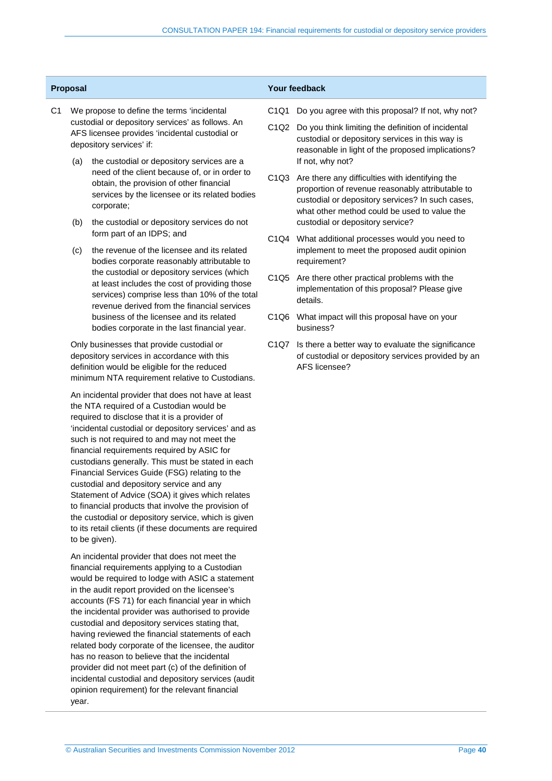| <b>Proposal</b> |                                                                                                                                |                                                                                                                                                                                                         | Your feedback                 |                                                                                                                                                                                                         |  |
|-----------------|--------------------------------------------------------------------------------------------------------------------------------|---------------------------------------------------------------------------------------------------------------------------------------------------------------------------------------------------------|-------------------------------|---------------------------------------------------------------------------------------------------------------------------------------------------------------------------------------------------------|--|
| C <sub>1</sub>  |                                                                                                                                | We propose to define the terms 'incidental                                                                                                                                                              | C <sub>1</sub> Q <sub>1</sub> | Do you agree with this proposal? If not, why not?                                                                                                                                                       |  |
|                 | custodial or depository services' as follows. An<br>AFS licensee provides 'incidental custodial or<br>depository services' if: |                                                                                                                                                                                                         |                               | C1Q2 Do you think limiting the definition of incidental<br>custodial or depository services in this way is<br>reasonable in light of the proposed implications?                                         |  |
|                 | (a)                                                                                                                            | the custodial or depository services are a<br>need of the client because of, or in order to<br>obtain, the provision of other financial<br>services by the licensee or its related bodies<br>corporate; |                               | If not, why not?                                                                                                                                                                                        |  |
|                 |                                                                                                                                |                                                                                                                                                                                                         | C <sub>1</sub> Q <sub>3</sub> | Are there any difficulties with identifying the<br>proportion of revenue reasonably attributable to<br>custodial or depository services? In such cases,<br>what other method could be used to value the |  |

- (b) the custodial or depository services do not form part of an IDPS; and
- (c) the revenue of the licensee and its related bodies corporate reasonably attributable to the custodial or depository services (which at least includes the cost of providing those services) comprise less than 10% of the total revenue derived from the financial services business of the licensee and its related bodies corporate in the last financial year.

Only businesses that provide custodial or depository services in accordance with this definition would be eligible for the reduced minimum NTA requirement relative to Custodians.

An incidental provider that does not have at least the NTA required of a Custodian would be required to disclose that it is a provider of 'incidental custodial or depository services' and as such is not required to and may not meet the financial requirements required by ASIC for custodians generally. This must be stated in each Financial Services Guide (FSG) relating to the custodial and depository service and any Statement of Advice (SOA) it gives which relates to financial products that involve the provision of the custodial or depository service, which is given to its retail clients (if these documents are required to be given).

An incidental provider that does not meet the financial requirements applying to a Custodian would be required to lodge with ASIC a statement in the audit report provided on the licensee's accounts (FS 71) for each financial year in which the incidental provider was authorised to provide custodial and depository services stating that, having reviewed the financial statements of each related body corporate of the licensee, the auditor has no reason to believe that the incidental provider did not meet part (c) of the definition of incidental custodial and depository services (audit opinion requirement) for the relevant financial year.

- 
- reasonable in light of the proposed implications?
- proportion of revenue reasonably attributable to custodial or depository services? In such cases, what other method could be used to value the custodial or depository service?
- C1Q4 What additional processes would you need to implement to meet the proposed audit opinion requirement?
- C1Q5 Are there other practical problems with the implementation of this proposal? Please give details.
- C1Q6 What impact will this proposal have on your business?
- C1Q7 Is there a better way to evaluate the significance of custodial or depository services provided by an AFS licensee?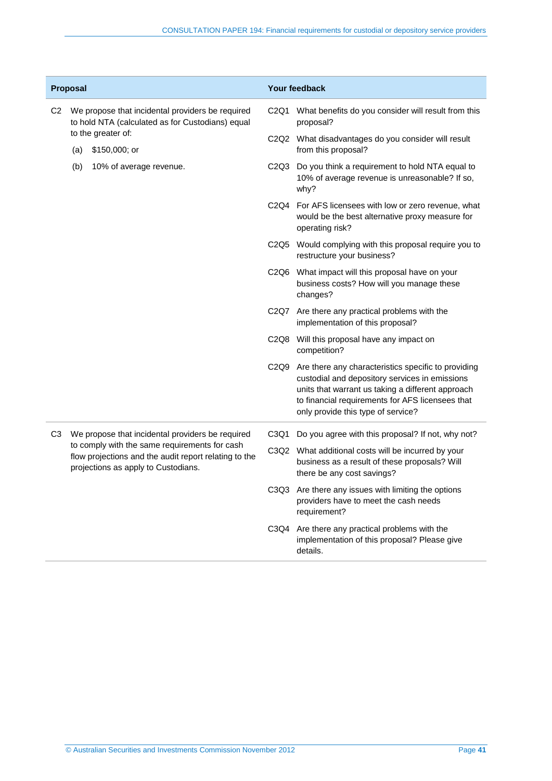|                | Proposal                                                                                                                                      |                         | <b>Your feedback</b>                                                                                                          |                                                                                                                                                                                                                                                      |  |
|----------------|-----------------------------------------------------------------------------------------------------------------------------------------------|-------------------------|-------------------------------------------------------------------------------------------------------------------------------|------------------------------------------------------------------------------------------------------------------------------------------------------------------------------------------------------------------------------------------------------|--|
| C2             | We propose that incidental providers be required<br>to hold NTA (calculated as for Custodians) equal                                          |                         |                                                                                                                               | What benefits do you consider will result from this<br>proposal?                                                                                                                                                                                     |  |
|                | to the greater of:<br>\$150,000; or<br>(a)                                                                                                    |                         | C2Q2 What disadvantages do you consider will result<br>from this proposal?                                                    |                                                                                                                                                                                                                                                      |  |
|                | (b)                                                                                                                                           | 10% of average revenue. | C <sub>2</sub> Q <sub>3</sub>                                                                                                 | Do you think a requirement to hold NTA equal to<br>10% of average revenue is unreasonable? If so,<br>why?                                                                                                                                            |  |
|                |                                                                                                                                               |                         | C2Q4                                                                                                                          | For AFS licensees with low or zero revenue, what<br>would be the best alternative proxy measure for<br>operating risk?                                                                                                                               |  |
|                |                                                                                                                                               |                         |                                                                                                                               | C2Q5 Would complying with this proposal require you to<br>restructure your business?                                                                                                                                                                 |  |
|                |                                                                                                                                               |                         | C <sub>2</sub> Q <sub>6</sub>                                                                                                 | What impact will this proposal have on your<br>business costs? How will you manage these<br>changes?                                                                                                                                                 |  |
|                |                                                                                                                                               |                         |                                                                                                                               | C2Q7 Are there any practical problems with the<br>implementation of this proposal?                                                                                                                                                                   |  |
|                |                                                                                                                                               |                         |                                                                                                                               | C2Q8 Will this proposal have any impact on<br>competition?                                                                                                                                                                                           |  |
|                |                                                                                                                                               |                         | C <sub>2</sub> Q <sub>9</sub>                                                                                                 | Are there any characteristics specific to providing<br>custodial and depository services in emissions<br>units that warrant us taking a different approach<br>to financial requirements for AFS licensees that<br>only provide this type of service? |  |
| C <sub>3</sub> | We propose that incidental providers be required                                                                                              |                         | C3Q1                                                                                                                          | Do you agree with this proposal? If not, why not?                                                                                                                                                                                                    |  |
|                | to comply with the same requirements for cash<br>flow projections and the audit report relating to the<br>projections as apply to Custodians. | C3Q2                    | What additional costs will be incurred by your<br>business as a result of these proposals? Will<br>there be any cost savings? |                                                                                                                                                                                                                                                      |  |
|                |                                                                                                                                               |                         |                                                                                                                               | C3Q3 Are there any issues with limiting the options<br>providers have to meet the cash needs<br>requirement?                                                                                                                                         |  |
|                |                                                                                                                                               |                         |                                                                                                                               | C3Q4 Are there any practical problems with the<br>implementation of this proposal? Please give<br>details.                                                                                                                                           |  |